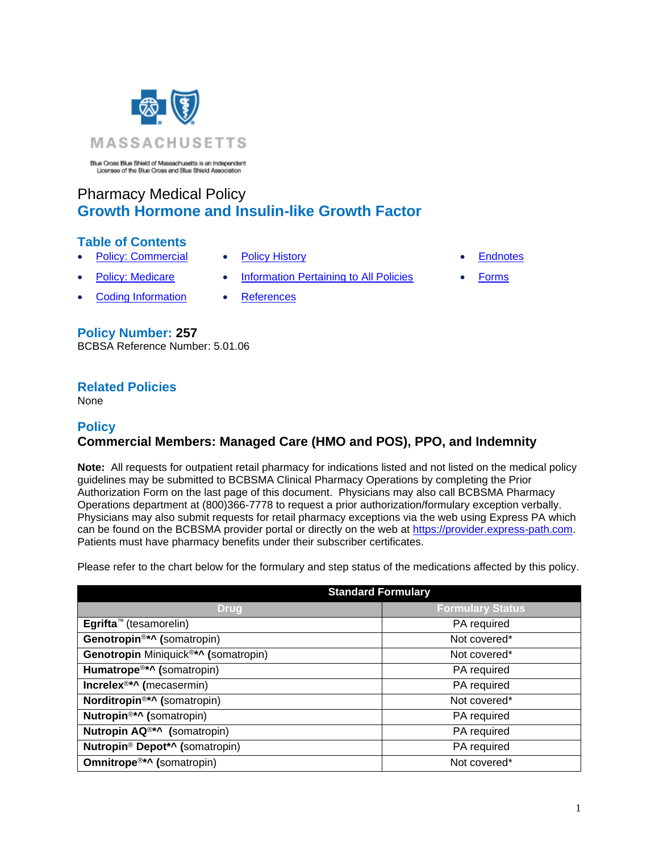

Blue Cross Blue Shield of Massachusetts is an Independent<br>Licenses of the Blue Cross and Blue Shield Association

# Pharmacy Medical Policy **Growth Hormone and Insulin-like Growth Factor**

# **Table of Contents**

- [Policy: Commercial](#page-0-0) [Policy History](#page-12-0) [Endnotes](#page-19-0)
	-
- 
- [Coding Information](#page-4-1) [References](#page-13-0)
- **Policy: Medicare [Information Pertaining to All Policies](#page-4-0) [Forms](http://www.bluecrossma.org/medical-policies/sites/g/files/csphws2091/files/acquiadam-assets/023%20E%20Form%20medication%20prior%20auth%20instruction%20prn.pdf)**
- -

**Policy Number: 257** BCBSA Reference Number: 5.01.06

### **Related Policies**

None

# <span id="page-0-0"></span>**Policy Commercial Members: Managed Care (HMO and POS), PPO, and Indemnity**

**Note:** All requests for outpatient retail pharmacy for indications listed and not listed on the medical policy guidelines may be submitted to BCBSMA Clinical Pharmacy Operations by completing the Prior Authorization Form on the last page of this document. Physicians may also call BCBSMA Pharmacy Operations department at (800)366-7778 to request a prior authorization/formulary exception verbally. Physicians may also submit requests for retail pharmacy exceptions via the web using Express PA which can be found on the BCBSMA provider portal or directly on the web at [https://provider.express-path.com.](https://provider.express-path.com/) Patients must have pharmacy benefits under their subscriber certificates.

Please refer to the chart below for the formulary and step status of the medications affected by this policy.

| <b>Standard Formulary</b>                               |                         |
|---------------------------------------------------------|-------------------------|
| <b>Drug</b>                                             | <b>Formulary Status</b> |
| <b>Egrifta</b> <sup>™</sup> (tesamorelin)               | PA required             |
| Genotropin <sup>®*</sup> ^ (somatropin)<br>Not covered* |                         |
| Genotropin Miniquick®*^ (somatropin)                    | Not covered*            |
| Humatrope <sup>®*</sup> ^ (somatropin)                  | PA required             |
| Increlex <sup>®*^</sup> (mecasermin)                    | PA required             |
| Norditropin <sup>®*</sup> ^ (somatropin)                | Not covered*            |
| Nutropin <sup>®*</sup> ^ (somatropin)                   | PA required             |
| Nutropin AQ <sup>®*</sup> ^ (somatropin)                | PA required             |
| Nutropin <sup>®</sup> Depot <sup>*^</sup> (somatropin)  | PA required             |
| Omnitrope <sup>®*</sup> ^ (somatropin)                  | Not covered*            |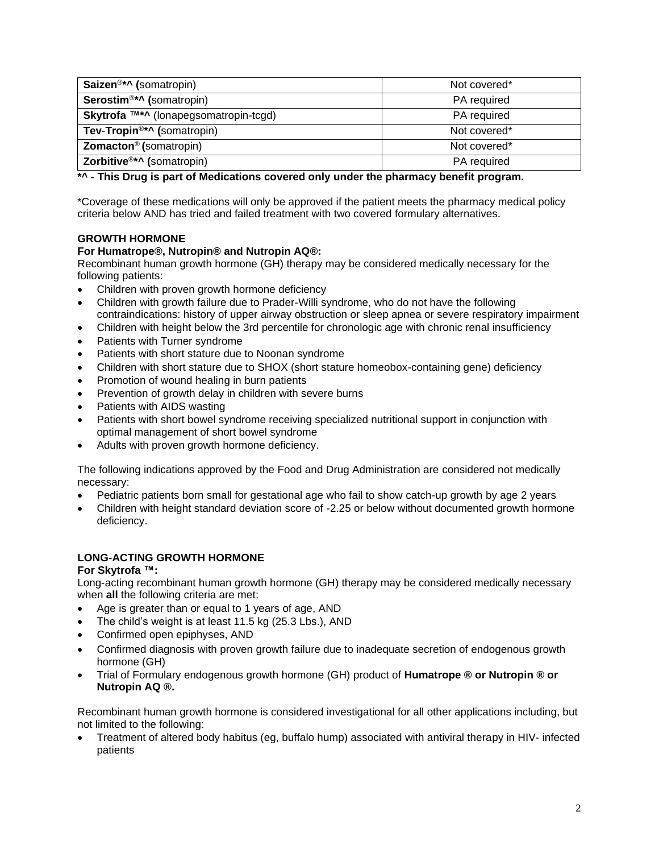| Saizen <sup>®*</sup> ^ (somatropin)      | Not covered* |
|------------------------------------------|--------------|
| Serostim <sup>®*</sup> ^ (somatropin)    | PA required  |
| Skytrofa ™*^ (lonapegsomatropin-tcgd)    | PA required  |
| Tev-Tropin <sup>®*</sup> ^ (somatropin)  | Not covered* |
| <b>Zomacton<sup>®</sup></b> (somatropin) | Not covered* |
| Zorbitive <sup>®*</sup> ^ (somatropin)   | PA required  |

**\*^ - This Drug is part of Medications covered only under the pharmacy benefit program.**

\*Coverage of these medications will only be approved if the patient meets the pharmacy medical policy criteria below AND has tried and failed treatment with two covered formulary alternatives.

#### **GROWTH HORMONE**

#### **For Humatrope®, Nutropin® and Nutropin AQ®:**

Recombinant human growth hormone (GH) therapy may be considered medically necessary for the following patients:

- Children with proven growth hormone deficiency
- Children with growth failure due to Prader-Willi syndrome, who do not have the following contraindications: history of upper airway obstruction or sleep apnea or severe respiratory impairment
- Children with height below the 3rd percentile for chronologic age with chronic renal insufficiency
- Patients with Turner syndrome
- Patients with short stature due to Noonan syndrome
- Children with short stature due to SHOX (short stature homeobox-containing gene) deficiency
- Promotion of wound healing in burn patients
- Prevention of growth delay in children with severe burns
- Patients with AIDS wasting
- Patients with short bowel syndrome receiving specialized nutritional support in conjunction with optimal management of short bowel syndrome
- Adults with proven growth hormone deficiency.

The following indications approved by the Food and Drug Administration are considered not medically necessary:

- Pediatric patients born small for gestational age who fail to show catch-up growth by age 2 years
- Children with height standard deviation score of -2.25 or below without documented growth hormone deficiency.

#### **LONG-ACTING GROWTH HORMONE**

#### **For Skytrofa ™:**

Long-acting recombinant human growth hormone (GH) therapy may be considered medically necessary when **all** the following criteria are met:

- Age is greater than or equal to 1 years of age, AND
- The child's weight is at least 11.5 kg (25.3 Lbs.), AND
- Confirmed open epiphyses, AND
- Confirmed diagnosis with proven growth failure due to inadequate secretion of endogenous growth hormone (GH)
- Trial of Formulary endogenous growth hormone (GH) product of **Humatrope ® or Nutropin ® or Nutropin AQ ®.**

Recombinant human growth hormone is considered investigational for all other applications including, but not limited to the following:

• Treatment of altered body habitus (eg, buffalo hump) associated with antiviral therapy in HIV- infected patients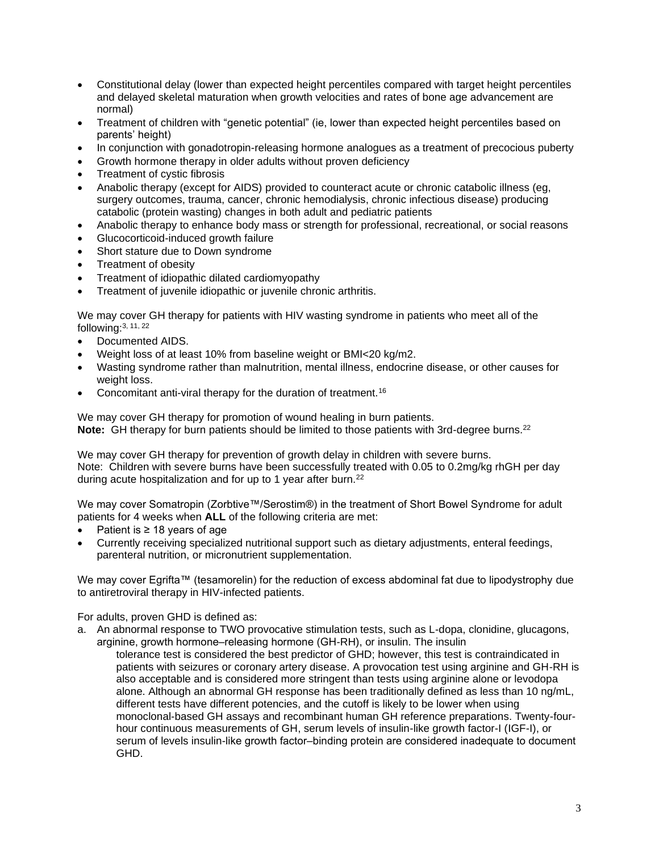- Constitutional delay (lower than expected height percentiles compared with target height percentiles and delayed skeletal maturation when growth velocities and rates of bone age advancement are normal)
- Treatment of children with "genetic potential" (ie, lower than expected height percentiles based on parents' height)
- In conjunction with gonadotropin-releasing hormone analogues as a treatment of precocious puberty
- Growth hormone therapy in older adults without proven deficiency
- Treatment of cystic fibrosis
- Anabolic therapy (except for AIDS) provided to counteract acute or chronic catabolic illness (eg, surgery outcomes, trauma, cancer, chronic hemodialysis, chronic infectious disease) producing catabolic (protein wasting) changes in both adult and pediatric patients
- Anabolic therapy to enhance body mass or strength for professional, recreational, or social reasons
- Glucocorticoid-induced growth failure
- Short stature due to Down syndrome
- Treatment of obesity
- Treatment of idiopathic dilated cardiomyopathy
- Treatment of juvenile idiopathic or juvenile chronic arthritis.

We may cover GH therapy for patients with HIV wasting syndrome in patients who meet all of the following: 3, 11, 22 

- Documented AIDS.
- Weight loss of at least 10% from baseline weight or BMI<20 kg/m2.
- Wasting syndrome rather than malnutrition, mental illness, endocrine disease, or other causes for weight loss.
- Concomitant anti-viral therapy for the duration of treatment.<sup>16</sup>

We may cover GH therapy for promotion of wound healing in burn patients. **Note:** GH therapy for burn patients should be limited to those patients with 3rd-degree burns.<sup>22</sup>

We may cover GH therapy for prevention of growth delay in children with severe burns. Note: Children with severe burns have been successfully treated with 0.05 to 0.2mg/kg rhGH per day during acute hospitalization and for up to 1 year after burn.<sup>22</sup>

We may cover Somatropin (Zorbtive™/Serostim®) in the treatment of Short Bowel Syndrome for adult patients for 4 weeks when **ALL** of the following criteria are met:

- Patient is  $\geq 18$  years of age
- Currently receiving specialized nutritional support such as dietary adjustments, enteral feedings, parenteral nutrition, or micronutrient supplementation.

We may cover Egrifta™ (tesamorelin) for the reduction of excess abdominal fat due to lipodystrophy due to antiretroviral therapy in HIV-infected patients.

For adults, proven GHD is defined as:

a. An abnormal response to TWO provocative stimulation tests, such as L-dopa, clonidine, glucagons, arginine, growth hormone–releasing hormone (GH-RH), or insulin. The insulin

tolerance test is considered the best predictor of GHD; however, this test is contraindicated in patients with seizures or coronary artery disease. A provocation test using arginine and GH-RH is also acceptable and is considered more stringent than tests using arginine alone or levodopa alone. Although an abnormal GH response has been traditionally defined as less than 10 ng/mL, different tests have different potencies, and the cutoff is likely to be lower when using monoclonal-based GH assays and recombinant human GH reference preparations. Twenty-fourhour continuous measurements of GH, serum levels of insulin-like growth factor-I (IGF-I), or serum of levels insulin-like growth factor-binding protein are considered inadequate to document GHD.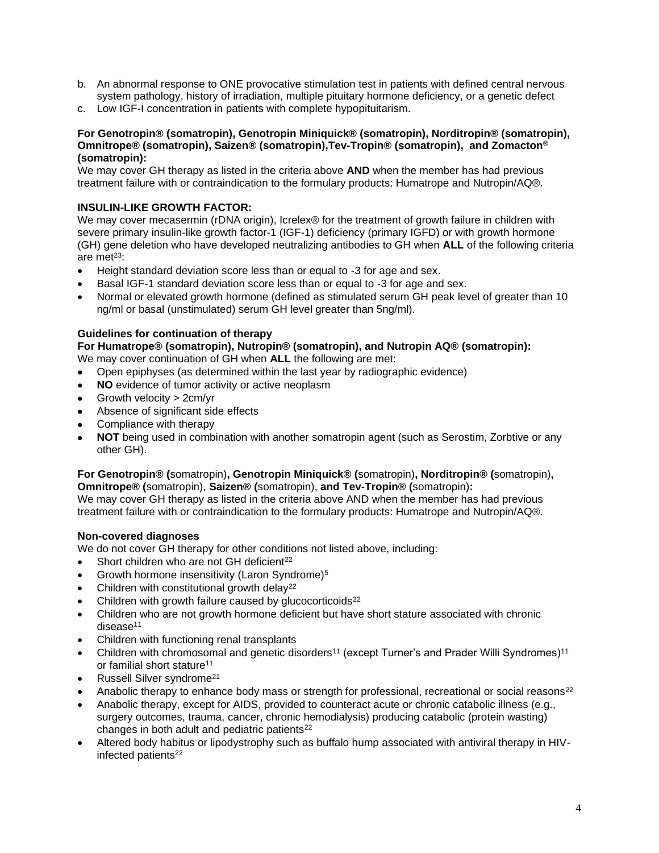- b. An abnormal response to ONE provocative stimulation test in patients with defined central nervous system pathology, history of irradiation, multiple pituitary hormone deficiency, or a genetic defect
- c. Low IGF-I concentration in patients with complete hypopituitarism.

#### **For Genotropin® (somatropin), Genotropin Miniquick® (somatropin), Norditropin® (somatropin), Omnitrope® (somatropin), Saizen® (somatropin),Tev-Tropin® (somatropin), and Zomacton® (somatropin):**

We may cover GH therapy as listed in the criteria above **AND** when the member has had previous treatment failure with or contraindication to the formulary products: Humatrope and Nutropin/AQ®.

#### **INSULIN-LIKE GROWTH FACTOR:**

We may cover mecasermin (rDNA origin), Icrelex® for the treatment of growth failure in children with severe primary insulin-like growth factor-1 (IGF-1) deficiency (primary IGFD) or with growth hormone (GH) gene deletion who have developed neutralizing antibodies to GH when **ALL** of the following criteria are met $23$ :

- Height standard deviation score less than or equal to -3 for age and sex.
- Basal IGF-1 standard deviation score less than or equal to -3 for age and sex.
- Normal or elevated growth hormone (defined as stimulated serum GH peak level of greater than 10 ng/ml or basal (unstimulated) serum GH level greater than 5ng/ml).

#### **Guidelines for continuation of therapy**

**For Humatrope® (somatropin), Nutropin® (somatropin), and Nutropin AQ® (somatropin):** 

We may cover continuation of GH when **ALL** the following are met:

- Open epiphyses (as determined within the last year by radiographic evidence)
- **NO** evidence of tumor activity or active neoplasm
- Growth velocity > 2cm/yr
- Absence of significant side effects
- Compliance with therapy
- **NOT** being used in combination with another somatropin agent (such as Serostim, Zorbtive or any other GH).

#### **For Genotropin® (**somatropin)**, Genotropin Miniquick® (**somatropin)**, Norditropin® (**somatropin)**, Omnitrope® (**somatropin), **Saizen® (**somatropin), **and Tev-Tropin® (**somatropin)**:**

We may cover GH therapy as listed in the criteria above AND when the member has had previous treatment failure with or contraindication to the formulary products: Humatrope and Nutropin/AQ®.

#### **Non-covered diagnoses**

We do not cover GH therapy for other conditions not listed above, including:

- Short children who are not GH deficient<sup>22</sup>
- Growth hormone insensitivity (Laron Syndrome)<sup>5</sup>
- Children with constitutional growth delay<sup>22</sup>
- Children with growth failure caused by glucocorticoids<sup>22</sup>
- Children who are not growth hormone deficient but have short stature associated with chronic disease<sup>11</sup>
- Children with functioning renal transplants
- Children with chromosomal and genetic disorders<sup>11</sup> (except Turner's and Prader Willi Syndromes)<sup>11</sup> or familial short stature<sup>11</sup>
- Russell Silver syndrome<sup>21</sup>
- Anabolic therapy to enhance body mass or strength for professional, recreational or social reasons<sup>22</sup>
- Anabolic therapy, except for AIDS, provided to counteract acute or chronic catabolic illness (e.g., surgery outcomes, trauma, cancer, chronic hemodialysis) producing catabolic (protein wasting) changes in both adult and pediatric patients $22$
- Altered body habitus or lipodystrophy such as buffalo hump associated with antiviral therapy in HIVinfected patients<sup>22</sup>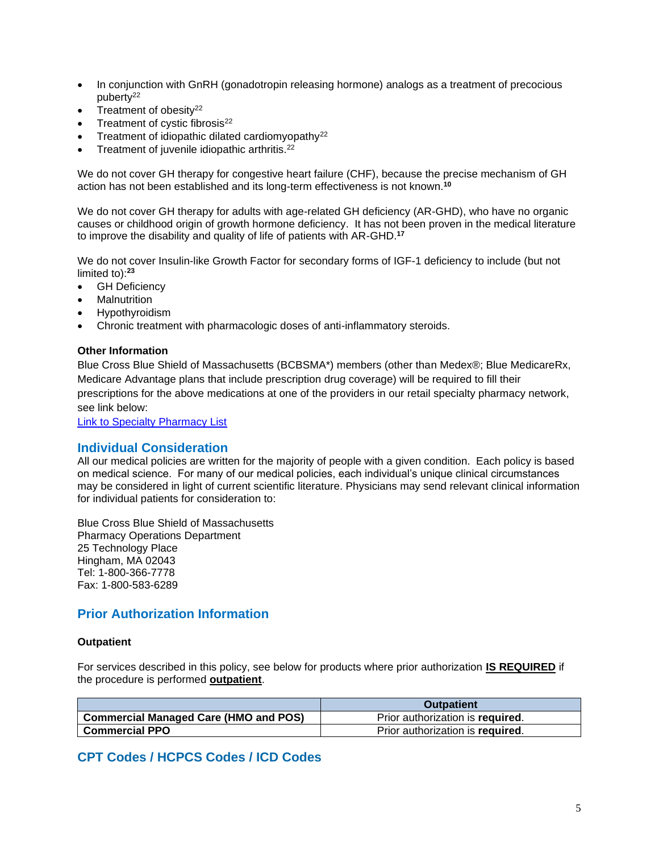- In conjunction with GnRH (gonadotropin releasing hormone) analogs as a treatment of precocious puberty<sup>22</sup>
- Treatment of obesity $22$
- Treatment of cystic fibrosis<sup>22</sup>
- Treatment of idiopathic dilated cardiomyopathy<sup>22</sup>
- Treatment of juvenile idiopathic arthritis.<sup>22</sup>

We do not cover GH therapy for congestive heart failure (CHF), because the precise mechanism of GH action has not been established and its long-term effectiveness is not known.**<sup>10</sup>**

We do not cover GH therapy for adults with age-related GH deficiency (AR-GHD), who have no organic causes or childhood origin of growth hormone deficiency. It has not been proven in the medical literature to improve the disability and quality of life of patients with AR-GHD.**<sup>17</sup>**

We do not cover Insulin-like Growth Factor for secondary forms of IGF-1 deficiency to include (but not limited to): **23**

- GH Deficiency
- **Malnutrition**
- **Hypothyroidism**
- Chronic treatment with pharmacologic doses of anti-inflammatory steroids.

#### **Other Information**

Blue Cross Blue Shield of Massachusetts (BCBSMA\*) members (other than Medex®; Blue MedicareRx, Medicare Advantage plans that include prescription drug coverage) will be required to fill their prescriptions for the above medications at one of the providers in our retail specialty pharmacy network, see link below:

[Link to Specialty Pharmacy List](https://www.bluecrossma.org/medical-policies/sites/g/files/csphws2091/files/acquiadam-assets/051%20Pharmacy%20Specialty%20List%20prn.pdf)

#### <span id="page-4-0"></span>**Individual Consideration**

All our medical policies are written for the majority of people with a given condition. Each policy is based on medical science. For many of our medical policies, each individual's unique clinical circumstances may be considered in light of current scientific literature. Physicians may send relevant clinical information for individual patients for consideration to:

Blue Cross Blue Shield of Massachusetts Pharmacy Operations Department 25 Technology Place Hingham, MA 02043 Tel: 1-800-366-7778 Fax: 1-800-583-6289

### **Prior Authorization Information**

#### **Outpatient**

For services described in this policy, see below for products where prior authorization **IS REQUIRED** if the procedure is performed **outpatient**.

|                                       | <b>Outpatient</b>                |
|---------------------------------------|----------------------------------|
| Commercial Managed Care (HMO and POS) | Prior authorization is required. |
| <b>Commercial PPO</b>                 | Prior authorization is required. |

## <span id="page-4-1"></span>**CPT Codes / HCPCS Codes / ICD Codes**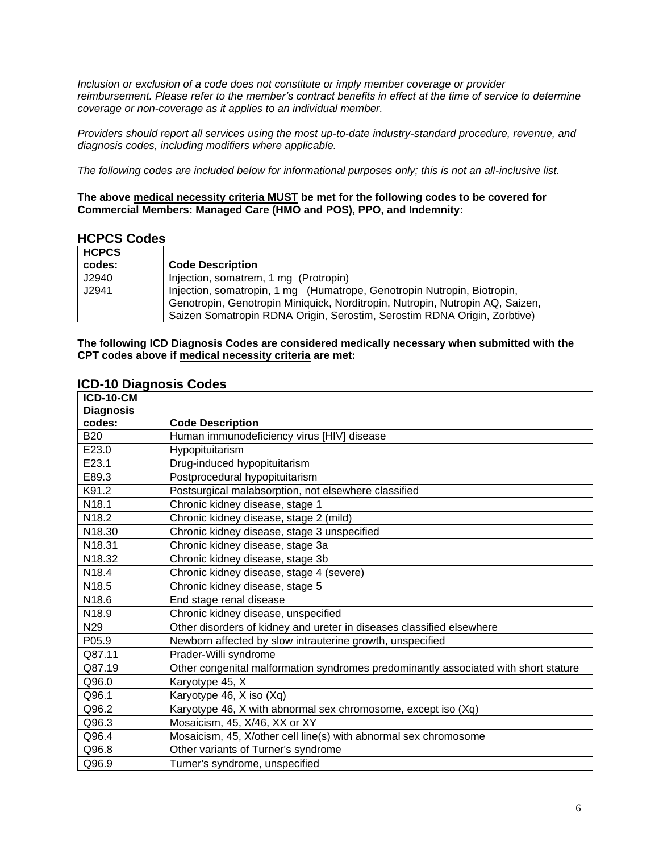*Inclusion or exclusion of a code does not constitute or imply member coverage or provider reimbursement. Please refer to the member's contract benefits in effect at the time of service to determine coverage or non-coverage as it applies to an individual member.*

*Providers should report all services using the most up-to-date industry-standard procedure, revenue, and diagnosis codes, including modifiers where applicable.*

*The following codes are included below for informational purposes only; this is not an all-inclusive list.*

#### **The above medical necessity criteria MUST be met for the following codes to be covered for Commercial Members: Managed Care (HMO and POS), PPO, and Indemnity:**

| <b>HCPCS</b> |                                                                                                                                                                                                                                      |
|--------------|--------------------------------------------------------------------------------------------------------------------------------------------------------------------------------------------------------------------------------------|
| codes:       | <b>Code Description</b>                                                                                                                                                                                                              |
| J2940        | Injection, somatrem, 1 mg (Protropin)                                                                                                                                                                                                |
| J2941        | Injection, somatropin, 1 mg (Humatrope, Genotropin Nutropin, Biotropin,<br>Genotropin, Genotropin Miniquick, Norditropin, Nutropin, Nutropin AQ, Saizen,<br>Saizen Somatropin RDNA Origin, Serostim, Serostim RDNA Origin, Zorbtive) |

# **HCPCS Codes**

**The following ICD Diagnosis Codes are considered medically necessary when submitted with the CPT codes above if medical necessity criteria are met:**

| <b>ICD-10-CM</b>   |                                                                                     |
|--------------------|-------------------------------------------------------------------------------------|
| <b>Diagnosis</b>   |                                                                                     |
| codes:             | <b>Code Description</b>                                                             |
| <b>B20</b>         | Human immunodeficiency virus [HIV] disease                                          |
| E23.0              | Hypopituitarism                                                                     |
| E23.1              | Drug-induced hypopituitarism                                                        |
| E89.3              | Postprocedural hypopituitarism                                                      |
| K91.2              | Postsurgical malabsorption, not elsewhere classified                                |
| N18.1              | Chronic kidney disease, stage 1                                                     |
| N18.2              | Chronic kidney disease, stage 2 (mild)                                              |
| N <sub>18.30</sub> | Chronic kidney disease, stage 3 unspecified                                         |
| N18.31             | Chronic kidney disease, stage 3a                                                    |
| N18.32             | Chronic kidney disease, stage 3b                                                    |
| N18.4              | Chronic kidney disease, stage 4 (severe)                                            |
| N <sub>18.5</sub>  | Chronic kidney disease, stage 5                                                     |
| N18.6              | End stage renal disease                                                             |
| N18.9              | Chronic kidney disease, unspecified                                                 |
| N29                | Other disorders of kidney and ureter in diseases classified elsewhere               |
| P05.9              | Newborn affected by slow intrauterine growth, unspecified                           |
| Q87.11             | Prader-Willi syndrome                                                               |
| Q87.19             | Other congenital malformation syndromes predominantly associated with short stature |
| Q96.0              | Karyotype 45, X                                                                     |
| Q96.1              | Karyotype 46, X iso (Xq)                                                            |
| Q96.2              | Karyotype 46, X with abnormal sex chromosome, except iso (Xq)                       |
| Q96.3              | Mosaicism, 45, X/46, XX or XY                                                       |
| Q96.4              | Mosaicism, 45, X/other cell line(s) with abnormal sex chromosome                    |
| Q96.8              | Other variants of Turner's syndrome                                                 |
| Q96.9              | Turner's syndrome, unspecified                                                      |

# **ICD-10 Diagnosis Codes**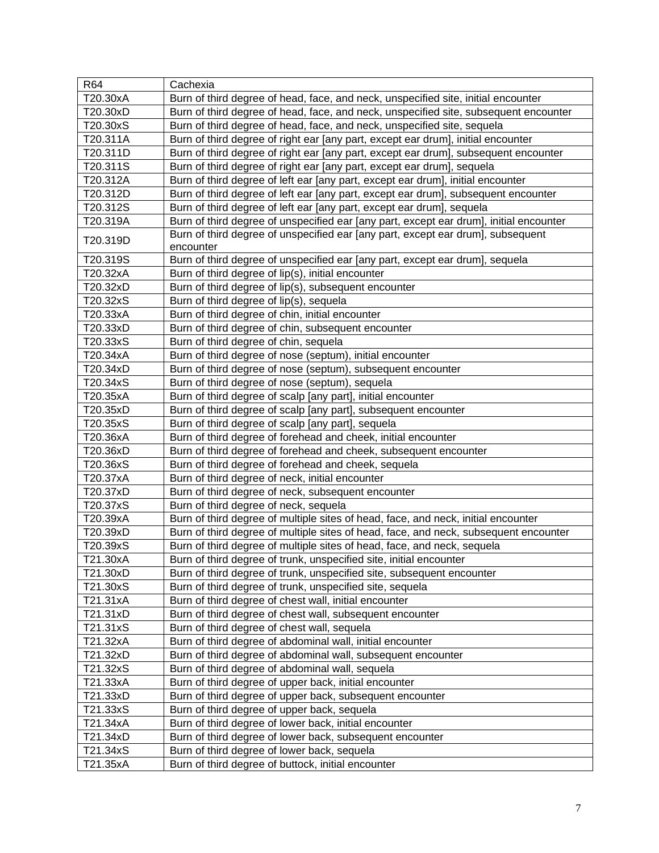| R64      | Cachexia                                                                               |
|----------|----------------------------------------------------------------------------------------|
| T20.30xA | Burn of third degree of head, face, and neck, unspecified site, initial encounter      |
| T20.30xD | Burn of third degree of head, face, and neck, unspecified site, subsequent encounter   |
| T20.30xS | Burn of third degree of head, face, and neck, unspecified site, sequela                |
| T20.311A | Burn of third degree of right ear [any part, except ear drum], initial encounter       |
| T20.311D | Burn of third degree of right ear [any part, except ear drum], subsequent encounter    |
| T20.311S | Burn of third degree of right ear [any part, except ear drum], sequela                 |
| T20.312A | Burn of third degree of left ear [any part, except ear drum], initial encounter        |
| T20.312D | Burn of third degree of left ear [any part, except ear drum], subsequent encounter     |
| T20.312S | Burn of third degree of left ear [any part, except ear drum], sequela                  |
| T20.319A | Burn of third degree of unspecified ear [any part, except ear drum], initial encounter |
|          | Burn of third degree of unspecified ear [any part, except ear drum], subsequent        |
| T20.319D | encounter                                                                              |
| T20.319S | Burn of third degree of unspecified ear [any part, except ear drum], sequela           |
| T20.32xA | Burn of third degree of lip(s), initial encounter                                      |
| T20.32xD | Burn of third degree of lip(s), subsequent encounter                                   |
| T20.32xS | Burn of third degree of lip(s), sequela                                                |
| T20.33xA | Burn of third degree of chin, initial encounter                                        |
| T20.33xD | Burn of third degree of chin, subsequent encounter                                     |
| T20.33xS | Burn of third degree of chin, sequela                                                  |
| T20.34xA | Burn of third degree of nose (septum), initial encounter                               |
| T20.34xD | Burn of third degree of nose (septum), subsequent encounter                            |
| T20.34xS | Burn of third degree of nose (septum), sequela                                         |
| T20.35xA | Burn of third degree of scalp [any part], initial encounter                            |
| T20.35xD | Burn of third degree of scalp [any part], subsequent encounter                         |
| T20.35xS | Burn of third degree of scalp [any part], sequela                                      |
| T20.36xA | Burn of third degree of forehead and cheek, initial encounter                          |
| T20.36xD | Burn of third degree of forehead and cheek, subsequent encounter                       |
| T20.36xS | Burn of third degree of forehead and cheek, sequela                                    |
| T20.37xA | Burn of third degree of neck, initial encounter                                        |
| T20.37xD | Burn of third degree of neck, subsequent encounter                                     |
| T20.37xS | Burn of third degree of neck, sequela                                                  |
| T20.39xA | Burn of third degree of multiple sites of head, face, and neck, initial encounter      |
| T20.39xD | Burn of third degree of multiple sites of head, face, and neck, subsequent encounter   |
| T20.39xS | Burn of third degree of multiple sites of head, face, and neck, sequela                |
| T21.30xA | Burn of third degree of trunk, unspecified site, initial encounter                     |
| T21.30xD | Burn of third degree of trunk, unspecified site, subsequent encounter                  |
| T21.30xS | Burn of third degree of trunk, unspecified site, sequela                               |
| T21.31xA | Burn of third degree of chest wall, initial encounter                                  |
| T21.31xD | Burn of third degree of chest wall, subsequent encounter                               |
| T21.31xS | Burn of third degree of chest wall, sequela                                            |
| T21.32xA | Burn of third degree of abdominal wall, initial encounter                              |
| T21.32xD | Burn of third degree of abdominal wall, subsequent encounter                           |
| T21.32xS | Burn of third degree of abdominal wall, sequela                                        |
| T21.33xA | Burn of third degree of upper back, initial encounter                                  |
| T21.33xD | Burn of third degree of upper back, subsequent encounter                               |
| T21.33xS | Burn of third degree of upper back, sequela                                            |
| T21.34xA | Burn of third degree of lower back, initial encounter                                  |
| T21.34xD | Burn of third degree of lower back, subsequent encounter                               |
| T21.34xS | Burn of third degree of lower back, sequela                                            |
| T21.35xA | Burn of third degree of buttock, initial encounter                                     |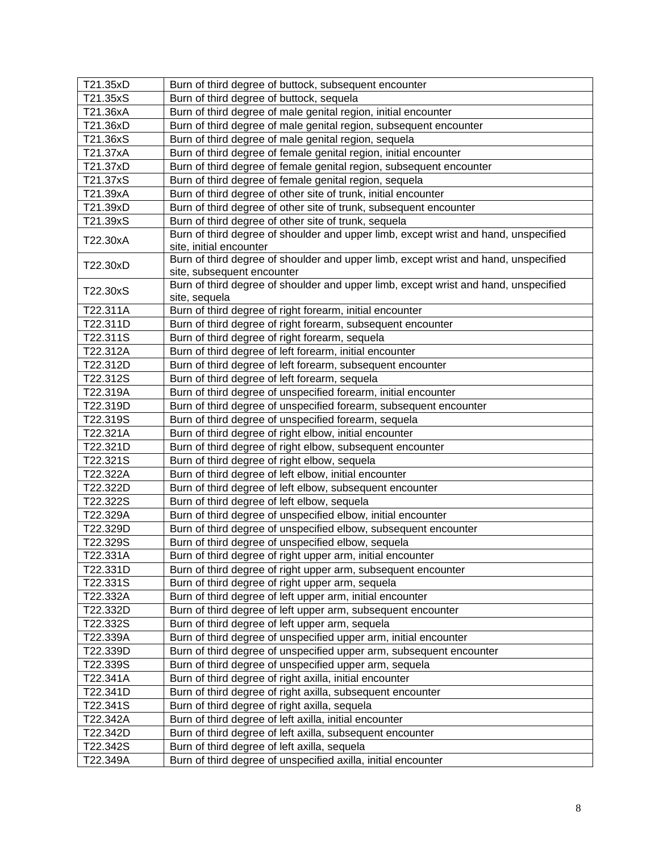| T21.35xD | Burn of third degree of buttock, subsequent encounter                               |
|----------|-------------------------------------------------------------------------------------|
| T21.35xS | Burn of third degree of buttock, sequela                                            |
| T21.36xA | Burn of third degree of male genital region, initial encounter                      |
| T21.36xD | Burn of third degree of male genital region, subsequent encounter                   |
| T21.36xS | Burn of third degree of male genital region, sequela                                |
| T21.37xA | Burn of third degree of female genital region, initial encounter                    |
| T21.37xD | Burn of third degree of female genital region, subsequent encounter                 |
| T21.37xS | Burn of third degree of female genital region, sequela                              |
| T21.39xA | Burn of third degree of other site of trunk, initial encounter                      |
| T21.39xD | Burn of third degree of other site of trunk, subsequent encounter                   |
| T21.39xS | Burn of third degree of other site of trunk, sequela                                |
|          | Burn of third degree of shoulder and upper limb, except wrist and hand, unspecified |
| T22.30xA | site, initial encounter                                                             |
| T22.30xD | Burn of third degree of shoulder and upper limb, except wrist and hand, unspecified |
|          | site, subsequent encounter                                                          |
| T22.30xS | Burn of third degree of shoulder and upper limb, except wrist and hand, unspecified |
|          | site, sequela                                                                       |
| T22.311A | Burn of third degree of right forearm, initial encounter                            |
| T22.311D | Burn of third degree of right forearm, subsequent encounter                         |
| T22.311S | Burn of third degree of right forearm, sequela                                      |
| T22.312A | Burn of third degree of left forearm, initial encounter                             |
| T22.312D | Burn of third degree of left forearm, subsequent encounter                          |
| T22.312S | Burn of third degree of left forearm, sequela                                       |
| T22.319A | Burn of third degree of unspecified forearm, initial encounter                      |
| T22.319D | Burn of third degree of unspecified forearm, subsequent encounter                   |
| T22.319S | Burn of third degree of unspecified forearm, sequela                                |
| T22.321A | Burn of third degree of right elbow, initial encounter                              |
| T22.321D | Burn of third degree of right elbow, subsequent encounter                           |
| T22.321S | Burn of third degree of right elbow, sequela                                        |
| T22.322A | Burn of third degree of left elbow, initial encounter                               |
| T22.322D | Burn of third degree of left elbow, subsequent encounter                            |
| T22.322S | Burn of third degree of left elbow, sequela                                         |
| T22.329A | Burn of third degree of unspecified elbow, initial encounter                        |
| T22.329D | Burn of third degree of unspecified elbow, subsequent encounter                     |
| T22.329S | Burn of third degree of unspecified elbow, sequela                                  |
| T22.331A | Burn of third degree of right upper arm, initial encounter                          |
| T22.331D | Burn of third degree of right upper arm, subsequent encounter                       |
| T22.331S | Burn of third degree of right upper arm, sequela                                    |
| T22.332A | Burn of third degree of left upper arm, initial encounter                           |
| T22.332D | Burn of third degree of left upper arm, subsequent encounter                        |
| T22.332S | Burn of third degree of left upper arm, sequela                                     |
| T22.339A | Burn of third degree of unspecified upper arm, initial encounter                    |
| T22.339D | Burn of third degree of unspecified upper arm, subsequent encounter                 |
| T22.339S | Burn of third degree of unspecified upper arm, sequela                              |
| T22.341A | Burn of third degree of right axilla, initial encounter                             |
| T22.341D | Burn of third degree of right axilla, subsequent encounter                          |
| T22.341S | Burn of third degree of right axilla, sequela                                       |
| T22.342A | Burn of third degree of left axilla, initial encounter                              |
| T22.342D | Burn of third degree of left axilla, subsequent encounter                           |
| T22.342S | Burn of third degree of left axilla, sequela                                        |
| T22.349A | Burn of third degree of unspecified axilla, initial encounter                       |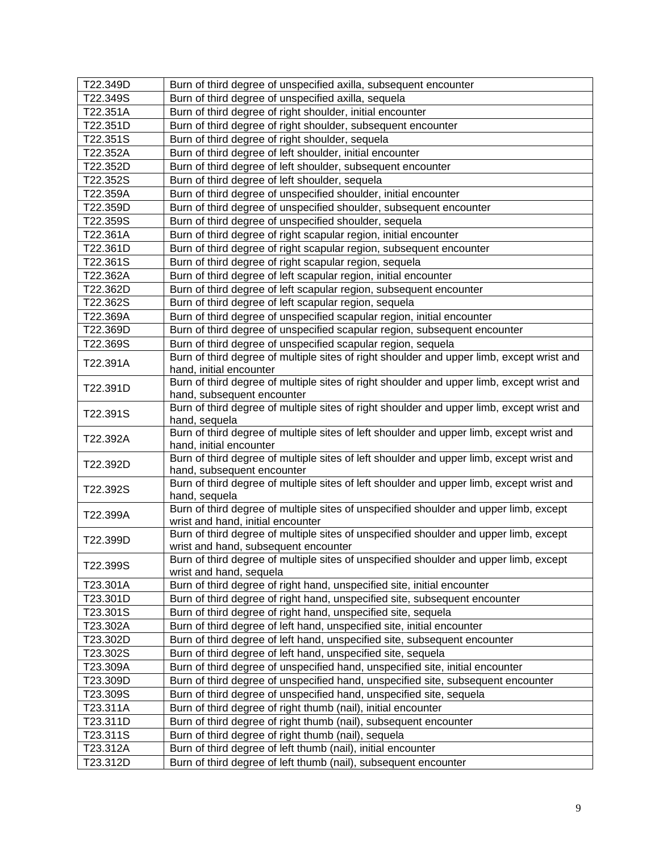| T22.349D | Burn of third degree of unspecified axilla, subsequent encounter                                                    |
|----------|---------------------------------------------------------------------------------------------------------------------|
| T22.349S | Burn of third degree of unspecified axilla, sequela                                                                 |
| T22.351A | Burn of third degree of right shoulder, initial encounter                                                           |
| T22.351D | Burn of third degree of right shoulder, subsequent encounter                                                        |
| T22.351S | Burn of third degree of right shoulder, sequela                                                                     |
| T22.352A | Burn of third degree of left shoulder, initial encounter                                                            |
| T22.352D | Burn of third degree of left shoulder, subsequent encounter                                                         |
| T22.352S | Burn of third degree of left shoulder, sequela                                                                      |
| T22.359A | Burn of third degree of unspecified shoulder, initial encounter                                                     |
| T22.359D | Burn of third degree of unspecified shoulder, subsequent encounter                                                  |
| T22.359S | Burn of third degree of unspecified shoulder, sequela                                                               |
| T22.361A | Burn of third degree of right scapular region, initial encounter                                                    |
| T22.361D | Burn of third degree of right scapular region, subsequent encounter                                                 |
| T22.361S | Burn of third degree of right scapular region, sequela                                                              |
| T22.362A | Burn of third degree of left scapular region, initial encounter                                                     |
| T22.362D | Burn of third degree of left scapular region, subsequent encounter                                                  |
| T22.362S | Burn of third degree of left scapular region, sequela                                                               |
| T22.369A | Burn of third degree of unspecified scapular region, initial encounter                                              |
| T22.369D | Burn of third degree of unspecified scapular region, subsequent encounter                                           |
| T22.369S | Burn of third degree of unspecified scapular region, sequela                                                        |
|          | Burn of third degree of multiple sites of right shoulder and upper limb, except wrist and                           |
| T22.391A | hand, initial encounter                                                                                             |
| T22.391D | Burn of third degree of multiple sites of right shoulder and upper limb, except wrist and                           |
|          | hand, subsequent encounter                                                                                          |
| T22.391S | Burn of third degree of multiple sites of right shoulder and upper limb, except wrist and                           |
|          | hand, sequela                                                                                                       |
| T22.392A | Burn of third degree of multiple sites of left shoulder and upper limb, except wrist and<br>hand, initial encounter |
|          | Burn of third degree of multiple sites of left shoulder and upper limb, except wrist and                            |
| T22.392D | hand, subsequent encounter                                                                                          |
|          | Burn of third degree of multiple sites of left shoulder and upper limb, except wrist and                            |
| T22.392S | hand, sequela                                                                                                       |
| T22.399A | Burn of third degree of multiple sites of unspecified shoulder and upper limb, except                               |
|          | wrist and hand, initial encounter                                                                                   |
| T22.399D | Burn of third degree of multiple sites of unspecified shoulder and upper limb, except                               |
|          | wrist and hand, subsequent encounter                                                                                |
| T22.399S | Burn of third degree of multiple sites of unspecified shoulder and upper limb, except                               |
|          | wrist and hand, sequela                                                                                             |
| T23.301A | Burn of third degree of right hand, unspecified site, initial encounter                                             |
| T23.301D | Burn of third degree of right hand, unspecified site, subsequent encounter                                          |
| T23.301S | Burn of third degree of right hand, unspecified site, sequela                                                       |
| T23.302A | Burn of third degree of left hand, unspecified site, initial encounter                                              |
| T23.302D | Burn of third degree of left hand, unspecified site, subsequent encounter                                           |
| T23.302S | Burn of third degree of left hand, unspecified site, sequela                                                        |
| T23.309A | Burn of third degree of unspecified hand, unspecified site, initial encounter                                       |
| T23.309D | Burn of third degree of unspecified hand, unspecified site, subsequent encounter                                    |
| T23.309S | Burn of third degree of unspecified hand, unspecified site, sequela                                                 |
| T23.311A | Burn of third degree of right thumb (nail), initial encounter                                                       |
| T23.311D | Burn of third degree of right thumb (nail), subsequent encounter                                                    |
| T23.311S | Burn of third degree of right thumb (nail), sequela                                                                 |
| T23.312A | Burn of third degree of left thumb (nail), initial encounter                                                        |
| T23.312D | Burn of third degree of left thumb (nail), subsequent encounter                                                     |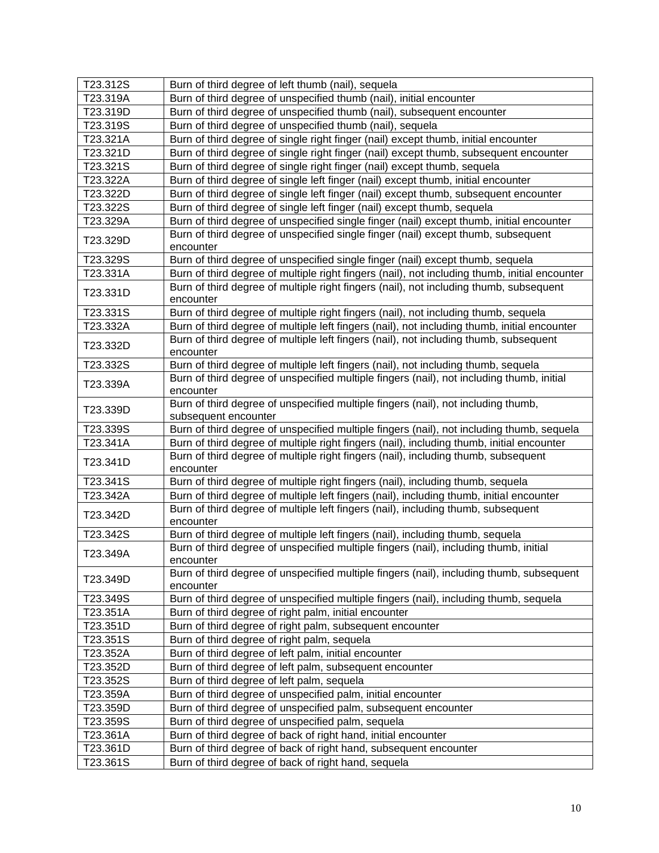| T23.312S | Burn of third degree of left thumb (nail), sequela                                                  |
|----------|-----------------------------------------------------------------------------------------------------|
| T23.319A | Burn of third degree of unspecified thumb (nail), initial encounter                                 |
| T23.319D | Burn of third degree of unspecified thumb (nail), subsequent encounter                              |
| T23.319S | Burn of third degree of unspecified thumb (nail), sequela                                           |
| T23.321A | Burn of third degree of single right finger (nail) except thumb, initial encounter                  |
| T23.321D | Burn of third degree of single right finger (nail) except thumb, subsequent encounter               |
| T23.321S | Burn of third degree of single right finger (nail) except thumb, sequela                            |
| T23.322A | Burn of third degree of single left finger (nail) except thumb, initial encounter                   |
| T23.322D | Burn of third degree of single left finger (nail) except thumb, subsequent encounter                |
| T23.322S | Burn of third degree of single left finger (nail) except thumb, sequela                             |
| T23.329A | Burn of third degree of unspecified single finger (nail) except thumb, initial encounter            |
|          | Burn of third degree of unspecified single finger (nail) except thumb, subsequent                   |
| T23.329D | encounter                                                                                           |
| T23.329S | Burn of third degree of unspecified single finger (nail) except thumb, sequela                      |
| T23.331A | Burn of third degree of multiple right fingers (nail), not including thumb, initial encounter       |
| T23.331D | Burn of third degree of multiple right fingers (nail), not including thumb, subsequent<br>encounter |
| T23.331S | Burn of third degree of multiple right fingers (nail), not including thumb, sequela                 |
| T23.332A | Burn of third degree of multiple left fingers (nail), not including thumb, initial encounter        |
|          | Burn of third degree of multiple left fingers (nail), not including thumb, subsequent               |
| T23.332D | encounter                                                                                           |
| T23.332S | Burn of third degree of multiple left fingers (nail), not including thumb, sequela                  |
|          | Burn of third degree of unspecified multiple fingers (nail), not including thumb, initial           |
| T23.339A | encounter                                                                                           |
| T23.339D | Burn of third degree of unspecified multiple fingers (nail), not including thumb,                   |
|          | subsequent encounter                                                                                |
| T23.339S | Burn of third degree of unspecified multiple fingers (nail), not including thumb, sequela           |
| T23.341A | Burn of third degree of multiple right fingers (nail), including thumb, initial encounter           |
| T23.341D | Burn of third degree of multiple right fingers (nail), including thumb, subsequent<br>encounter     |
| T23.341S | Burn of third degree of multiple right fingers (nail), including thumb, sequela                     |
| T23.342A | Burn of third degree of multiple left fingers (nail), including thumb, initial encounter            |
|          | Burn of third degree of multiple left fingers (nail), including thumb, subsequent                   |
| T23.342D | encounter                                                                                           |
| T23.342S | Burn of third degree of multiple left fingers (nail), including thumb, sequela                      |
|          | Burn of third degree of unspecified multiple fingers (nail), including thumb, initial               |
| T23.349A | encounter                                                                                           |
|          | Burn of third degree of unspecified multiple fingers (nail), including thumb, subsequent            |
| T23.349D | encounter                                                                                           |
| T23.349S | Burn of third degree of unspecified multiple fingers (nail), including thumb, sequela               |
| T23.351A | Burn of third degree of right palm, initial encounter                                               |
| T23.351D | Burn of third degree of right palm, subsequent encounter                                            |
| T23.351S | Burn of third degree of right palm, sequela                                                         |
| T23.352A | Burn of third degree of left palm, initial encounter                                                |
| T23.352D | Burn of third degree of left palm, subsequent encounter                                             |
| T23.352S | Burn of third degree of left palm, sequela                                                          |
| T23.359A | Burn of third degree of unspecified palm, initial encounter                                         |
| T23.359D | Burn of third degree of unspecified palm, subsequent encounter                                      |
| T23.359S | Burn of third degree of unspecified palm, sequela                                                   |
| T23.361A | Burn of third degree of back of right hand, initial encounter                                       |
| T23.361D | Burn of third degree of back of right hand, subsequent encounter                                    |
| T23.361S | Burn of third degree of back of right hand, sequela                                                 |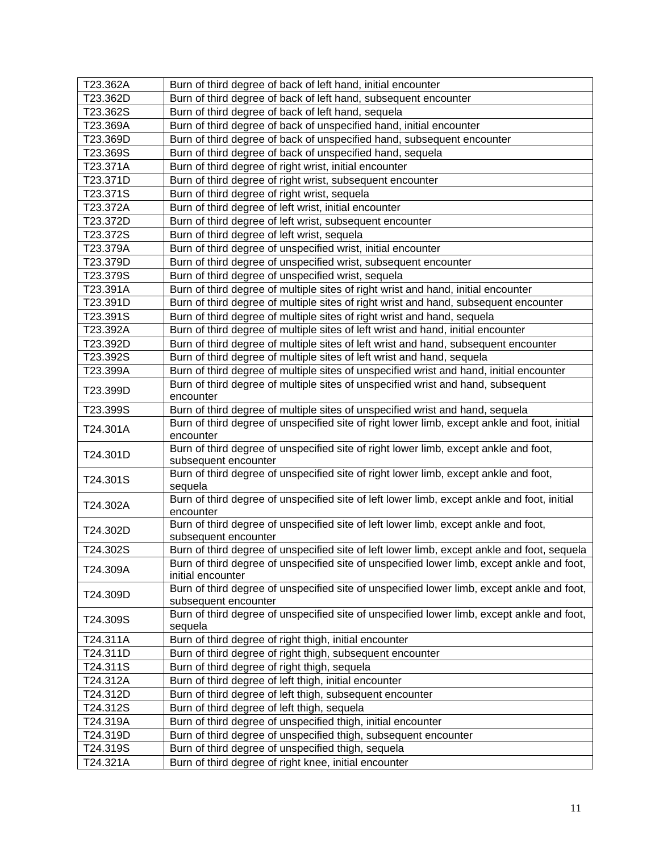| T23.362A | Burn of third degree of back of left hand, initial encounter                                                       |
|----------|--------------------------------------------------------------------------------------------------------------------|
| T23.362D | Burn of third degree of back of left hand, subsequent encounter                                                    |
| T23.362S | Burn of third degree of back of left hand, sequela                                                                 |
| T23.369A | Burn of third degree of back of unspecified hand, initial encounter                                                |
| T23.369D | Burn of third degree of back of unspecified hand, subsequent encounter                                             |
| T23.369S | Burn of third degree of back of unspecified hand, sequela                                                          |
| T23.371A | Burn of third degree of right wrist, initial encounter                                                             |
| T23.371D | Burn of third degree of right wrist, subsequent encounter                                                          |
| T23.371S | Burn of third degree of right wrist, sequela                                                                       |
| T23.372A | Burn of third degree of left wrist, initial encounter                                                              |
| T23.372D | Burn of third degree of left wrist, subsequent encounter                                                           |
| T23.372S | Burn of third degree of left wrist, sequela                                                                        |
| T23.379A | Burn of third degree of unspecified wrist, initial encounter                                                       |
| T23.379D | Burn of third degree of unspecified wrist, subsequent encounter                                                    |
| T23.379S | Burn of third degree of unspecified wrist, sequela                                                                 |
| T23.391A | Burn of third degree of multiple sites of right wrist and hand, initial encounter                                  |
| T23.391D | Burn of third degree of multiple sites of right wrist and hand, subsequent encounter                               |
| T23.391S | Burn of third degree of multiple sites of right wrist and hand, sequela                                            |
| T23.392A | Burn of third degree of multiple sites of left wrist and hand, initial encounter                                   |
| T23.392D | Burn of third degree of multiple sites of left wrist and hand, subsequent encounter                                |
| T23.392S | Burn of third degree of multiple sites of left wrist and hand, sequela                                             |
| T23.399A | Burn of third degree of multiple sites of unspecified wrist and hand, initial encounter                            |
| T23.399D | Burn of third degree of multiple sites of unspecified wrist and hand, subsequent<br>encounter                      |
| T23.399S | Burn of third degree of multiple sites of unspecified wrist and hand, sequela                                      |
| T24.301A | Burn of third degree of unspecified site of right lower limb, except ankle and foot, initial<br>encounter          |
| T24.301D | Burn of third degree of unspecified site of right lower limb, except ankle and foot,<br>subsequent encounter       |
| T24.301S | Burn of third degree of unspecified site of right lower limb, except ankle and foot,<br>sequela                    |
| T24.302A | Burn of third degree of unspecified site of left lower limb, except ankle and foot, initial<br>encounter           |
| T24.302D | Burn of third degree of unspecified site of left lower limb, except ankle and foot,<br>subsequent encounter        |
| T24.302S | Burn of third degree of unspecified site of left lower limb, except ankle and foot, sequela                        |
| T24.309A | Burn of third degree of unspecified site of unspecified lower limb, except ankle and foot,<br>initial encounter    |
| T24.309D | Burn of third degree of unspecified site of unspecified lower limb, except ankle and foot,<br>subsequent encounter |
| T24.309S | Burn of third degree of unspecified site of unspecified lower limb, except ankle and foot,<br>sequela              |
| T24.311A | Burn of third degree of right thigh, initial encounter                                                             |
| T24.311D | Burn of third degree of right thigh, subsequent encounter                                                          |
| T24.311S | Burn of third degree of right thigh, sequela                                                                       |
| T24.312A | Burn of third degree of left thigh, initial encounter                                                              |
| T24.312D | Burn of third degree of left thigh, subsequent encounter                                                           |
| T24.312S | Burn of third degree of left thigh, sequela                                                                        |
| T24.319A | Burn of third degree of unspecified thigh, initial encounter                                                       |
| T24.319D | Burn of third degree of unspecified thigh, subsequent encounter                                                    |
| T24.319S | Burn of third degree of unspecified thigh, sequela                                                                 |
| T24.321A | Burn of third degree of right knee, initial encounter                                                              |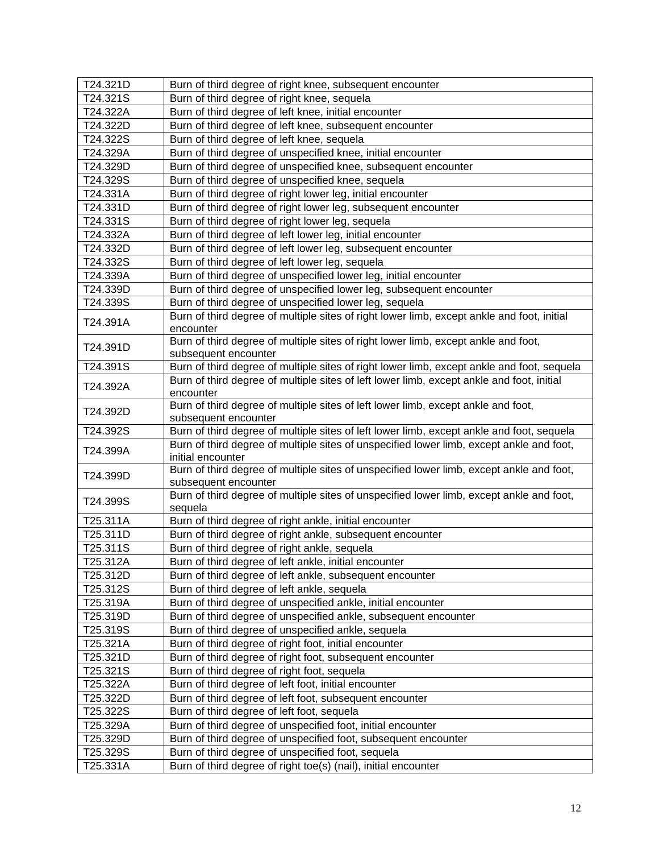| T24.321D | Burn of third degree of right knee, subsequent encounter                                                  |
|----------|-----------------------------------------------------------------------------------------------------------|
| T24.321S | Burn of third degree of right knee, sequela                                                               |
| T24.322A | Burn of third degree of left knee, initial encounter                                                      |
| T24.322D | Burn of third degree of left knee, subsequent encounter                                                   |
| T24.322S | Burn of third degree of left knee, sequela                                                                |
| T24.329A | Burn of third degree of unspecified knee, initial encounter                                               |
| T24.329D | Burn of third degree of unspecified knee, subsequent encounter                                            |
| T24.329S | Burn of third degree of unspecified knee, sequela                                                         |
| T24.331A | Burn of third degree of right lower leg, initial encounter                                                |
| T24.331D | Burn of third degree of right lower leg, subsequent encounter                                             |
| T24.331S | Burn of third degree of right lower leg, sequela                                                          |
| T24.332A | Burn of third degree of left lower leg, initial encounter                                                 |
| T24.332D | Burn of third degree of left lower leg, subsequent encounter                                              |
| T24.332S | Burn of third degree of left lower leg, sequela                                                           |
| T24.339A | Burn of third degree of unspecified lower leg, initial encounter                                          |
| T24.339D | Burn of third degree of unspecified lower leg, subsequent encounter                                       |
| T24.339S | Burn of third degree of unspecified lower leg, sequela                                                    |
| T24.391A | Burn of third degree of multiple sites of right lower limb, except ankle and foot, initial                |
|          | encounter                                                                                                 |
| T24.391D | Burn of third degree of multiple sites of right lower limb, except ankle and foot,                        |
|          | subsequent encounter                                                                                      |
| T24.391S | Burn of third degree of multiple sites of right lower limb, except ankle and foot, sequela                |
| T24.392A | Burn of third degree of multiple sites of left lower limb, except ankle and foot, initial                 |
|          | encounter                                                                                                 |
| T24.392D | Burn of third degree of multiple sites of left lower limb, except ankle and foot,<br>subsequent encounter |
| T24.392S | Burn of third degree of multiple sites of left lower limb, except ankle and foot, sequela                 |
|          | Burn of third degree of multiple sites of unspecified lower limb, except ankle and foot,                  |
| T24.399A | initial encounter                                                                                         |
|          | Burn of third degree of multiple sites of unspecified lower limb, except ankle and foot,                  |
| T24.399D | subsequent encounter                                                                                      |
|          | Burn of third degree of multiple sites of unspecified lower limb, except ankle and foot,                  |
| T24.399S | sequela                                                                                                   |
| T25.311A | Burn of third degree of right ankle, initial encounter                                                    |
| T25.311D | Burn of third degree of right ankle, subsequent encounter                                                 |
| T25.311S | Burn of third degree of right ankle, sequela                                                              |
| T25.312A | Burn of third degree of left ankle, initial encounter                                                     |
| T25.312D | Burn of third degree of left ankle, subsequent encounter                                                  |
| T25.312S | Burn of third degree of left ankle, sequela                                                               |
| T25.319A | Burn of third degree of unspecified ankle, initial encounter                                              |
| T25.319D | Burn of third degree of unspecified ankle, subsequent encounter                                           |
| T25.319S | Burn of third degree of unspecified ankle, sequela                                                        |
| T25.321A | Burn of third degree of right foot, initial encounter                                                     |
| T25.321D | Burn of third degree of right foot, subsequent encounter                                                  |
| T25.321S | Burn of third degree of right foot, sequela                                                               |
| T25.322A | Burn of third degree of left foot, initial encounter                                                      |
| T25.322D | Burn of third degree of left foot, subsequent encounter                                                   |
| T25.322S | Burn of third degree of left foot, sequela                                                                |
| T25.329A | Burn of third degree of unspecified foot, initial encounter                                               |
| T25.329D | Burn of third degree of unspecified foot, subsequent encounter                                            |
| T25.329S | Burn of third degree of unspecified foot, sequela                                                         |
| T25.331A | Burn of third degree of right toe(s) (nail), initial encounter                                            |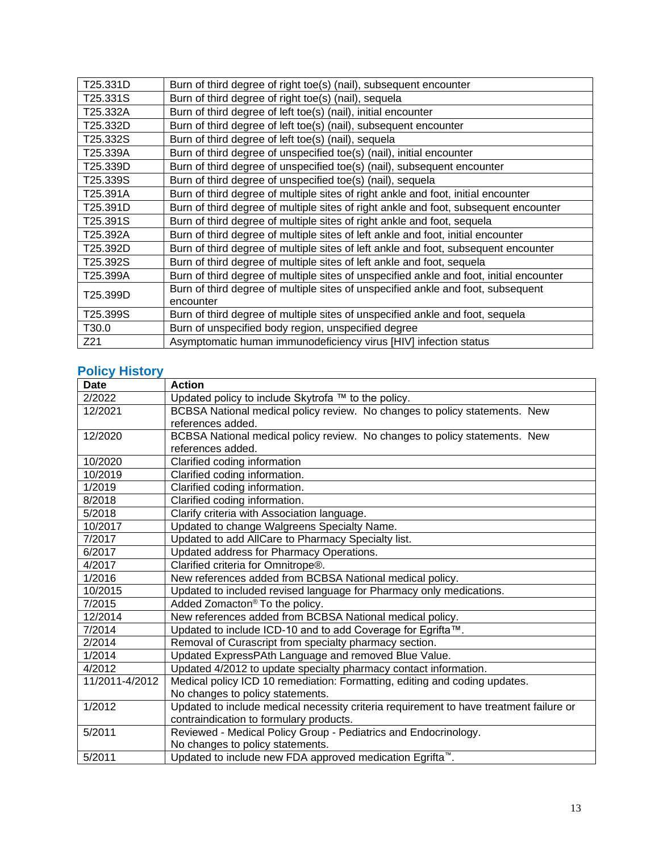| T25.331D | Burn of third degree of right toe(s) (nail), subsequent encounter                       |
|----------|-----------------------------------------------------------------------------------------|
| T25.331S | Burn of third degree of right toe(s) (nail), sequela                                    |
| T25.332A | Burn of third degree of left toe(s) (nail), initial encounter                           |
| T25.332D | Burn of third degree of left toe(s) (nail), subsequent encounter                        |
| T25.332S | Burn of third degree of left toe(s) (nail), sequela                                     |
| T25.339A | Burn of third degree of unspecified toe(s) (nail), initial encounter                    |
| T25.339D | Burn of third degree of unspecified toe(s) (nail), subsequent encounter                 |
| T25.339S | Burn of third degree of unspecified toe(s) (nail), sequela                              |
| T25.391A | Burn of third degree of multiple sites of right ankle and foot, initial encounter       |
| T25.391D | Burn of third degree of multiple sites of right ankle and foot, subsequent encounter    |
| T25.391S | Burn of third degree of multiple sites of right ankle and foot, sequela                 |
| T25.392A | Burn of third degree of multiple sites of left ankle and foot, initial encounter        |
| T25.392D | Burn of third degree of multiple sites of left ankle and foot, subsequent encounter     |
| T25.392S | Burn of third degree of multiple sites of left ankle and foot, sequela                  |
| T25.399A | Burn of third degree of multiple sites of unspecified ankle and foot, initial encounter |
| T25.399D | Burn of third degree of multiple sites of unspecified ankle and foot, subsequent        |
|          | encounter                                                                               |
| T25.399S | Burn of third degree of multiple sites of unspecified ankle and foot, sequela           |
| T30.0    | Burn of unspecified body region, unspecified degree                                     |
| Z21      | Asymptomatic human immunodeficiency virus [HIV] infection status                        |

# <span id="page-12-0"></span>**Policy History**

| <b>Date</b>    | <b>Action</b>                                                                          |
|----------------|----------------------------------------------------------------------------------------|
| 2/2022         | Updated policy to include Skytrofa ™ to the policy.                                    |
| 12/2021        | BCBSA National medical policy review. No changes to policy statements. New             |
|                | references added.                                                                      |
| 12/2020        | BCBSA National medical policy review. No changes to policy statements. New             |
|                | references added.                                                                      |
| 10/2020        | Clarified coding information                                                           |
| 10/2019        | Clarified coding information.                                                          |
| 1/2019         | Clarified coding information.                                                          |
| 8/2018         | Clarified coding information.                                                          |
| 5/2018         | Clarify criteria with Association language.                                            |
| 10/2017        | Updated to change Walgreens Specialty Name.                                            |
| 7/2017         | Updated to add AllCare to Pharmacy Specialty list.                                     |
| 6/2017         | Updated address for Pharmacy Operations.                                               |
| 4/2017         | Clarified criteria for Omnitrope®.                                                     |
| 1/2016         | New references added from BCBSA National medical policy.                               |
| 10/2015        | Updated to included revised language for Pharmacy only medications.                    |
| 7/2015         | Added Zomacton® To the policy.                                                         |
| 12/2014        | New references added from BCBSA National medical policy.                               |
| 7/2014         | Updated to include ICD-10 and to add Coverage for Egrifta™.                            |
| 2/2014         | Removal of Curascript from specialty pharmacy section.                                 |
| 1/2014         | Updated ExpressPAth Language and removed Blue Value.                                   |
| 4/2012         | Updated 4/2012 to update specialty pharmacy contact information.                       |
| 11/2011-4/2012 | Medical policy ICD 10 remediation: Formatting, editing and coding updates.             |
|                | No changes to policy statements.                                                       |
| 1/2012         | Updated to include medical necessity criteria requirement to have treatment failure or |
|                | contraindication to formulary products.                                                |
| 5/2011         | Reviewed - Medical Policy Group - Pediatrics and Endocrinology.                        |
|                | No changes to policy statements.                                                       |
| 5/2011         | Updated to include new FDA approved medication Egrifta <sup>™</sup> .                  |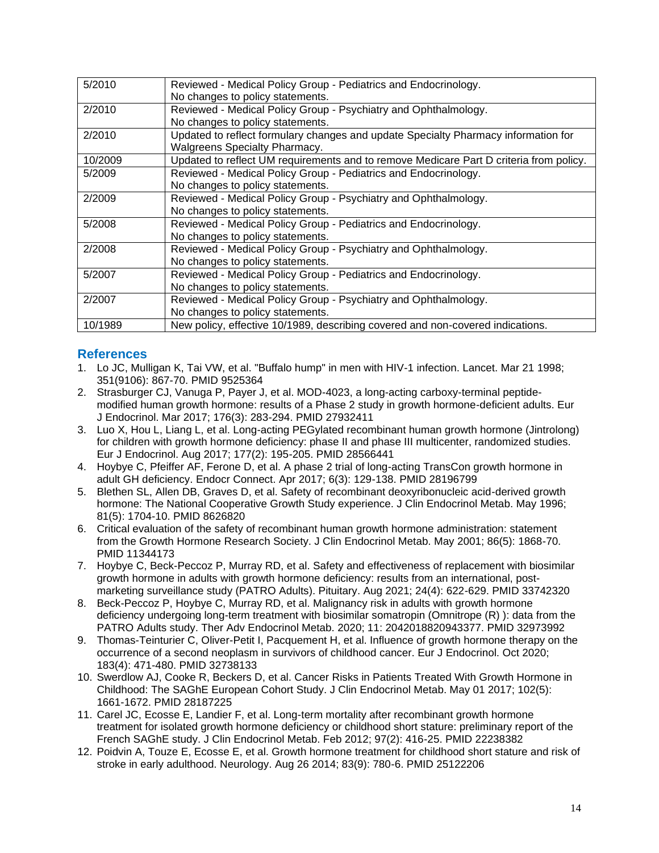| 5/2010  | Reviewed - Medical Policy Group - Pediatrics and Endocrinology.                        |
|---------|----------------------------------------------------------------------------------------|
|         | No changes to policy statements.                                                       |
| 2/2010  | Reviewed - Medical Policy Group - Psychiatry and Ophthalmology.                        |
|         | No changes to policy statements.                                                       |
| 2/2010  | Updated to reflect formulary changes and update Specialty Pharmacy information for     |
|         | <b>Walgreens Specialty Pharmacy.</b>                                                   |
| 10/2009 | Updated to reflect UM requirements and to remove Medicare Part D criteria from policy. |
| 5/2009  | Reviewed - Medical Policy Group - Pediatrics and Endocrinology.                        |
|         | No changes to policy statements.                                                       |
| 2/2009  | Reviewed - Medical Policy Group - Psychiatry and Ophthalmology.                        |
|         | No changes to policy statements.                                                       |
| 5/2008  | Reviewed - Medical Policy Group - Pediatrics and Endocrinology.                        |
|         | No changes to policy statements.                                                       |
| 2/2008  | Reviewed - Medical Policy Group - Psychiatry and Ophthalmology.                        |
|         | No changes to policy statements.                                                       |
| 5/2007  | Reviewed - Medical Policy Group - Pediatrics and Endocrinology.                        |
|         | No changes to policy statements.                                                       |
| 2/2007  | Reviewed - Medical Policy Group - Psychiatry and Ophthalmology.                        |
|         | No changes to policy statements.                                                       |
| 10/1989 | New policy, effective 10/1989, describing covered and non-covered indications.         |

### <span id="page-13-0"></span>**References**

- 1. Lo JC, Mulligan K, Tai VW, et al. "Buffalo hump" in men with HIV-1 infection. Lancet. Mar 21 1998; 351(9106): 867-70. PMID 9525364
- 2. Strasburger CJ, Vanuga P, Payer J, et al. MOD-4023, a long-acting carboxy-terminal peptidemodified human growth hormone: results of a Phase 2 study in growth hormone-deficient adults. Eur J Endocrinol. Mar 2017; 176(3): 283-294. PMID 27932411
- 3. Luo X, Hou L, Liang L, et al. Long-acting PEGylated recombinant human growth hormone (Jintrolong) for children with growth hormone deficiency: phase II and phase III multicenter, randomized studies. Eur J Endocrinol. Aug 2017; 177(2): 195-205. PMID 28566441
- 4. Hoybye C, Pfeiffer AF, Ferone D, et al. A phase 2 trial of long-acting TransCon growth hormone in adult GH deficiency. Endocr Connect. Apr 2017; 6(3): 129-138. PMID 28196799
- 5. Blethen SL, Allen DB, Graves D, et al. Safety of recombinant deoxyribonucleic acid-derived growth hormone: The National Cooperative Growth Study experience. J Clin Endocrinol Metab. May 1996; 81(5): 1704-10. PMID 8626820
- 6. Critical evaluation of the safety of recombinant human growth hormone administration: statement from the Growth Hormone Research Society. J Clin Endocrinol Metab. May 2001; 86(5): 1868-70. PMID 11344173
- 7. Hoybye C, Beck-Peccoz P, Murray RD, et al. Safety and effectiveness of replacement with biosimilar growth hormone in adults with growth hormone deficiency: results from an international, postmarketing surveillance study (PATRO Adults). Pituitary. Aug 2021; 24(4): 622-629. PMID 33742320
- 8. Beck-Peccoz P, Hoybye C, Murray RD, et al. Malignancy risk in adults with growth hormone deficiency undergoing long-term treatment with biosimilar somatropin (Omnitrope (R) ): data from the PATRO Adults study. Ther Adv Endocrinol Metab. 2020; 11: 2042018820943377. PMID 32973992
- 9. Thomas-Teinturier C, Oliver-Petit I, Pacquement H, et al. Influence of growth hormone therapy on the occurrence of a second neoplasm in survivors of childhood cancer. Eur J Endocrinol. Oct 2020; 183(4): 471-480. PMID 32738133
- 10. Swerdlow AJ, Cooke R, Beckers D, et al. Cancer Risks in Patients Treated With Growth Hormone in Childhood: The SAGhE European Cohort Study. J Clin Endocrinol Metab. May 01 2017; 102(5): 1661-1672. PMID 28187225
- 11. Carel JC, Ecosse E, Landier F, et al. Long-term mortality after recombinant growth hormone treatment for isolated growth hormone deficiency or childhood short stature: preliminary report of the French SAGhE study. J Clin Endocrinol Metab. Feb 2012; 97(2): 416-25. PMID 22238382
- 12. Poidvin A, Touze E, Ecosse E, et al. Growth hormone treatment for childhood short stature and risk of stroke in early adulthood. Neurology. Aug 26 2014; 83(9): 780-6. PMID 25122206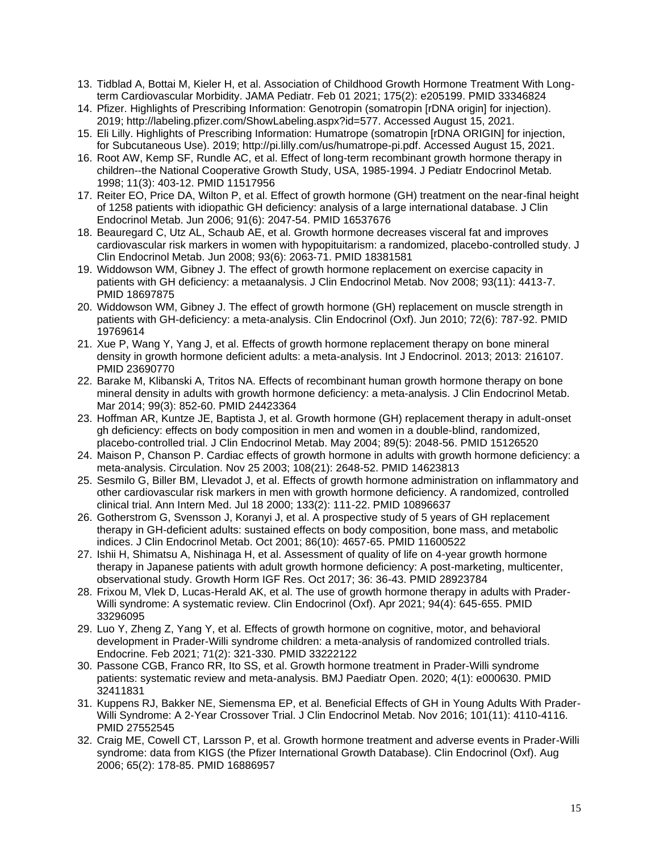- 13. Tidblad A, Bottai M, Kieler H, et al. Association of Childhood Growth Hormone Treatment With Longterm Cardiovascular Morbidity. JAMA Pediatr. Feb 01 2021; 175(2): e205199. PMID 33346824
- 14. Pfizer. Highlights of Prescribing Information: Genotropin (somatropin [rDNA origin] for injection). 2019; http://labeling.pfizer.com/ShowLabeling.aspx?id=577. Accessed August 15, 2021.
- 15. Eli Lilly. Highlights of Prescribing Information: Humatrope (somatropin [rDNA ORIGIN] for injection, for Subcutaneous Use). 2019; http://pi.lilly.com/us/humatrope-pi.pdf. Accessed August 15, 2021.
- 16. Root AW, Kemp SF, Rundle AC, et al. Effect of long-term recombinant growth hormone therapy in children--the National Cooperative Growth Study, USA, 1985-1994. J Pediatr Endocrinol Metab. 1998; 11(3): 403-12. PMID 11517956
- 17. Reiter EO, Price DA, Wilton P, et al. Effect of growth hormone (GH) treatment on the near-final height of 1258 patients with idiopathic GH deficiency: analysis of a large international database. J Clin Endocrinol Metab. Jun 2006; 91(6): 2047-54. PMID 16537676
- 18. Beauregard C, Utz AL, Schaub AE, et al. Growth hormone decreases visceral fat and improves cardiovascular risk markers in women with hypopituitarism: a randomized, placebo-controlled study. J Clin Endocrinol Metab. Jun 2008; 93(6): 2063-71. PMID 18381581
- 19. Widdowson WM, Gibney J. The effect of growth hormone replacement on exercise capacity in patients with GH deficiency: a metaanalysis. J Clin Endocrinol Metab. Nov 2008; 93(11): 4413-7. PMID 18697875
- 20. Widdowson WM, Gibney J. The effect of growth hormone (GH) replacement on muscle strength in patients with GH-deficiency: a meta-analysis. Clin Endocrinol (Oxf). Jun 2010; 72(6): 787-92. PMID 19769614
- 21. Xue P, Wang Y, Yang J, et al. Effects of growth hormone replacement therapy on bone mineral density in growth hormone deficient adults: a meta-analysis. Int J Endocrinol. 2013; 2013: 216107. PMID 23690770
- 22. Barake M, Klibanski A, Tritos NA. Effects of recombinant human growth hormone therapy on bone mineral density in adults with growth hormone deficiency: a meta-analysis. J Clin Endocrinol Metab. Mar 2014; 99(3): 852-60. PMID 24423364
- 23. Hoffman AR, Kuntze JE, Baptista J, et al. Growth hormone (GH) replacement therapy in adult-onset gh deficiency: effects on body composition in men and women in a double-blind, randomized, placebo-controlled trial. J Clin Endocrinol Metab. May 2004; 89(5): 2048-56. PMID 15126520
- 24. Maison P, Chanson P. Cardiac effects of growth hormone in adults with growth hormone deficiency: a meta-analysis. Circulation. Nov 25 2003; 108(21): 2648-52. PMID 14623813
- 25. Sesmilo G, Biller BM, Llevadot J, et al. Effects of growth hormone administration on inflammatory and other cardiovascular risk markers in men with growth hormone deficiency. A randomized, controlled clinical trial. Ann Intern Med. Jul 18 2000; 133(2): 111-22. PMID 10896637
- 26. Gotherstrom G, Svensson J, Koranyi J, et al. A prospective study of 5 years of GH replacement therapy in GH-deficient adults: sustained effects on body composition, bone mass, and metabolic indices. J Clin Endocrinol Metab. Oct 2001; 86(10): 4657-65. PMID 11600522
- 27. Ishii H, Shimatsu A, Nishinaga H, et al. Assessment of quality of life on 4-year growth hormone therapy in Japanese patients with adult growth hormone deficiency: A post-marketing, multicenter, observational study. Growth Horm IGF Res. Oct 2017; 36: 36-43. PMID 28923784
- 28. Frixou M, Vlek D, Lucas-Herald AK, et al. The use of growth hormone therapy in adults with Prader-Willi syndrome: A systematic review. Clin Endocrinol (Oxf). Apr 2021; 94(4): 645-655. PMID 33296095
- 29. Luo Y, Zheng Z, Yang Y, et al. Effects of growth hormone on cognitive, motor, and behavioral development in Prader-Willi syndrome children: a meta-analysis of randomized controlled trials. Endocrine. Feb 2021; 71(2): 321-330. PMID 33222122
- 30. Passone CGB, Franco RR, Ito SS, et al. Growth hormone treatment in Prader-Willi syndrome patients: systematic review and meta-analysis. BMJ Paediatr Open. 2020; 4(1): e000630. PMID 32411831
- 31. Kuppens RJ, Bakker NE, Siemensma EP, et al. Beneficial Effects of GH in Young Adults With Prader-Willi Syndrome: A 2-Year Crossover Trial. J Clin Endocrinol Metab. Nov 2016; 101(11): 4110-4116. PMID 27552545
- 32. Craig ME, Cowell CT, Larsson P, et al. Growth hormone treatment and adverse events in Prader-Willi syndrome: data from KIGS (the Pfizer International Growth Database). Clin Endocrinol (Oxf). Aug 2006; 65(2): 178-85. PMID 16886957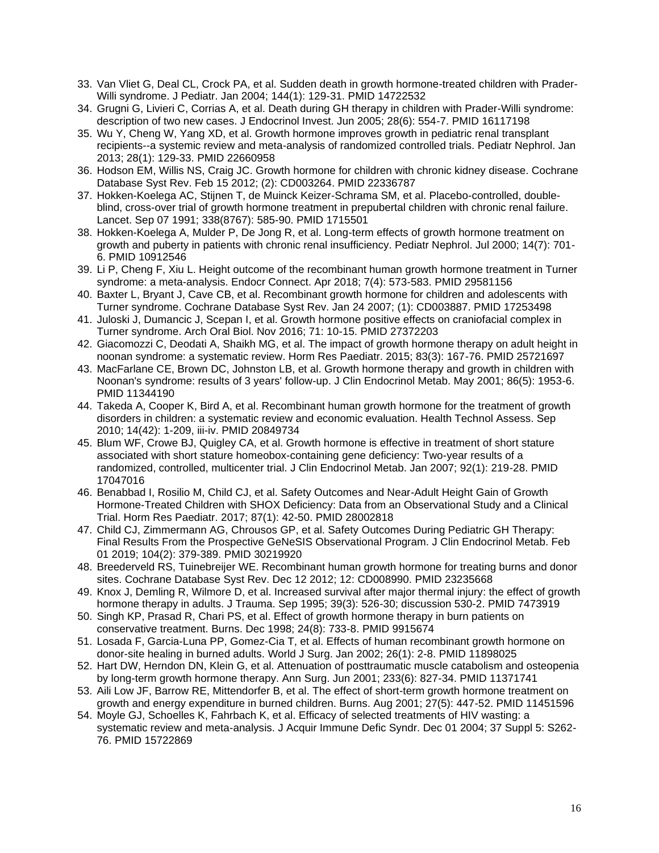- 33. Van Vliet G, Deal CL, Crock PA, et al. Sudden death in growth hormone-treated children with Prader-Willi syndrome. J Pediatr. Jan 2004; 144(1): 129-31. PMID 14722532
- 34. Grugni G, Livieri C, Corrias A, et al. Death during GH therapy in children with Prader-Willi syndrome: description of two new cases. J Endocrinol Invest. Jun 2005; 28(6): 554-7. PMID 16117198
- 35. Wu Y, Cheng W, Yang XD, et al. Growth hormone improves growth in pediatric renal transplant recipients--a systemic review and meta-analysis of randomized controlled trials. Pediatr Nephrol. Jan 2013; 28(1): 129-33. PMID 22660958
- 36. Hodson EM, Willis NS, Craig JC. Growth hormone for children with chronic kidney disease. Cochrane Database Syst Rev. Feb 15 2012; (2): CD003264. PMID 22336787
- 37. Hokken-Koelega AC, Stijnen T, de Muinck Keizer-Schrama SM, et al. Placebo-controlled, doubleblind, cross-over trial of growth hormone treatment in prepubertal children with chronic renal failure. Lancet. Sep 07 1991; 338(8767): 585-90. PMID 1715501
- 38. Hokken-Koelega A, Mulder P, De Jong R, et al. Long-term effects of growth hormone treatment on growth and puberty in patients with chronic renal insufficiency. Pediatr Nephrol. Jul 2000; 14(7): 701- 6. PMID 10912546
- 39. Li P, Cheng F, Xiu L. Height outcome of the recombinant human growth hormone treatment in Turner syndrome: a meta-analysis. Endocr Connect. Apr 2018; 7(4): 573-583. PMID 29581156
- 40. Baxter L, Bryant J, Cave CB, et al. Recombinant growth hormone for children and adolescents with Turner syndrome. Cochrane Database Syst Rev. Jan 24 2007; (1): CD003887. PMID 17253498
- 41. Juloski J, Dumancic J, Scepan I, et al. Growth hormone positive effects on craniofacial complex in Turner syndrome. Arch Oral Biol. Nov 2016; 71: 10-15. PMID 27372203
- 42. Giacomozzi C, Deodati A, Shaikh MG, et al. The impact of growth hormone therapy on adult height in noonan syndrome: a systematic review. Horm Res Paediatr. 2015; 83(3): 167-76. PMID 25721697
- 43. MacFarlane CE, Brown DC, Johnston LB, et al. Growth hormone therapy and growth in children with Noonan's syndrome: results of 3 years' follow-up. J Clin Endocrinol Metab. May 2001; 86(5): 1953-6. PMID 11344190
- 44. Takeda A, Cooper K, Bird A, et al. Recombinant human growth hormone for the treatment of growth disorders in children: a systematic review and economic evaluation. Health Technol Assess. Sep 2010; 14(42): 1-209, iii-iv. PMID 20849734
- 45. Blum WF, Crowe BJ, Quigley CA, et al. Growth hormone is effective in treatment of short stature associated with short stature homeobox-containing gene deficiency: Two-year results of a randomized, controlled, multicenter trial. J Clin Endocrinol Metab. Jan 2007; 92(1): 219-28. PMID 17047016
- 46. Benabbad I, Rosilio M, Child CJ, et al. Safety Outcomes and Near-Adult Height Gain of Growth Hormone-Treated Children with SHOX Deficiency: Data from an Observational Study and a Clinical Trial. Horm Res Paediatr. 2017; 87(1): 42-50. PMID 28002818
- 47. Child CJ, Zimmermann AG, Chrousos GP, et al. Safety Outcomes During Pediatric GH Therapy: Final Results From the Prospective GeNeSIS Observational Program. J Clin Endocrinol Metab. Feb 01 2019; 104(2): 379-389. PMID 30219920
- 48. Breederveld RS, Tuinebreijer WE. Recombinant human growth hormone for treating burns and donor sites. Cochrane Database Syst Rev. Dec 12 2012; 12: CD008990. PMID 23235668
- 49. Knox J, Demling R, Wilmore D, et al. Increased survival after major thermal injury: the effect of growth hormone therapy in adults. J Trauma. Sep 1995; 39(3): 526-30; discussion 530-2. PMID 7473919
- 50. Singh KP, Prasad R, Chari PS, et al. Effect of growth hormone therapy in burn patients on conservative treatment. Burns. Dec 1998; 24(8): 733-8. PMID 9915674
- 51. Losada F, Garcia-Luna PP, Gomez-Cia T, et al. Effects of human recombinant growth hormone on donor-site healing in burned adults. World J Surg. Jan 2002; 26(1): 2-8. PMID 11898025
- 52. Hart DW, Herndon DN, Klein G, et al. Attenuation of posttraumatic muscle catabolism and osteopenia by long-term growth hormone therapy. Ann Surg. Jun 2001; 233(6): 827-34. PMID 11371741
- 53. Aili Low JF, Barrow RE, Mittendorfer B, et al. The effect of short-term growth hormone treatment on growth and energy expenditure in burned children. Burns. Aug 2001; 27(5): 447-52. PMID 11451596
- 54. Moyle GJ, Schoelles K, Fahrbach K, et al. Efficacy of selected treatments of HIV wasting: a systematic review and meta-analysis. J Acquir Immune Defic Syndr. Dec 01 2004; 37 Suppl 5: S262- 76. PMID 15722869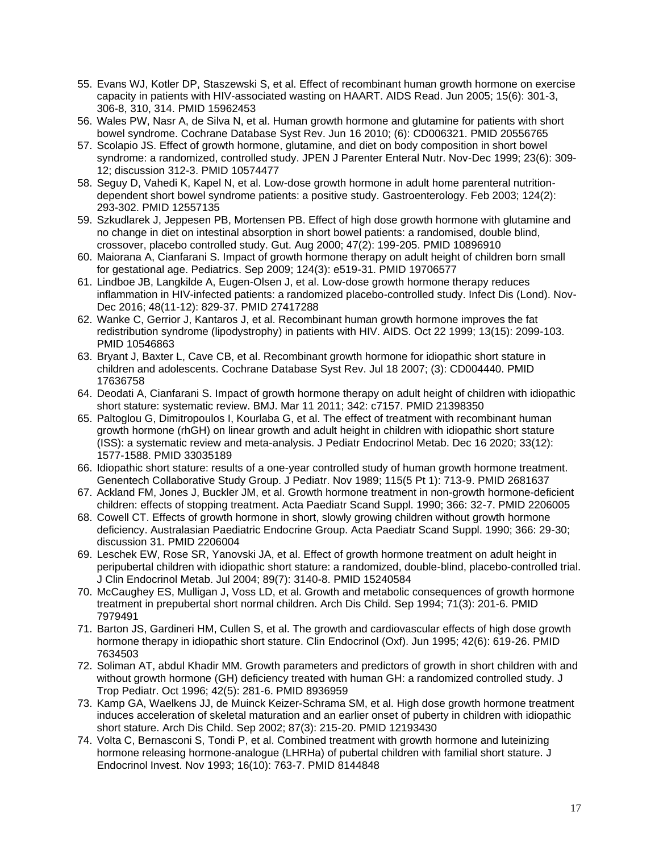- 55. Evans WJ, Kotler DP, Staszewski S, et al. Effect of recombinant human growth hormone on exercise capacity in patients with HIV-associated wasting on HAART. AIDS Read. Jun 2005; 15(6): 301-3, 306-8, 310, 314. PMID 15962453
- 56. Wales PW, Nasr A, de Silva N, et al. Human growth hormone and glutamine for patients with short bowel syndrome. Cochrane Database Syst Rev. Jun 16 2010; (6): CD006321. PMID 20556765
- 57. Scolapio JS. Effect of growth hormone, glutamine, and diet on body composition in short bowel syndrome: a randomized, controlled study. JPEN J Parenter Enteral Nutr. Nov-Dec 1999; 23(6): 309- 12; discussion 312-3. PMID 10574477
- 58. Seguy D, Vahedi K, Kapel N, et al. Low-dose growth hormone in adult home parenteral nutritiondependent short bowel syndrome patients: a positive study. Gastroenterology. Feb 2003; 124(2): 293-302. PMID 12557135
- 59. Szkudlarek J, Jeppesen PB, Mortensen PB. Effect of high dose growth hormone with glutamine and no change in diet on intestinal absorption in short bowel patients: a randomised, double blind, crossover, placebo controlled study. Gut. Aug 2000; 47(2): 199-205. PMID 10896910
- 60. Maiorana A, Cianfarani S. Impact of growth hormone therapy on adult height of children born small for gestational age. Pediatrics. Sep 2009; 124(3): e519-31. PMID 19706577
- 61. Lindboe JB, Langkilde A, Eugen-Olsen J, et al. Low-dose growth hormone therapy reduces inflammation in HIV-infected patients: a randomized placebo-controlled study. Infect Dis (Lond). Nov-Dec 2016; 48(11-12): 829-37. PMID 27417288
- 62. Wanke C, Gerrior J, Kantaros J, et al. Recombinant human growth hormone improves the fat redistribution syndrome (lipodystrophy) in patients with HIV. AIDS. Oct 22 1999; 13(15): 2099-103. PMID 10546863
- 63. Bryant J, Baxter L, Cave CB, et al. Recombinant growth hormone for idiopathic short stature in children and adolescents. Cochrane Database Syst Rev. Jul 18 2007; (3): CD004440. PMID 17636758
- 64. Deodati A, Cianfarani S. Impact of growth hormone therapy on adult height of children with idiopathic short stature: systematic review. BMJ. Mar 11 2011; 342: c7157. PMID 21398350
- 65. Paltoglou G, Dimitropoulos I, Kourlaba G, et al. The effect of treatment with recombinant human growth hormone (rhGH) on linear growth and adult height in children with idiopathic short stature (ISS): a systematic review and meta-analysis. J Pediatr Endocrinol Metab. Dec 16 2020; 33(12): 1577-1588. PMID 33035189
- 66. Idiopathic short stature: results of a one-year controlled study of human growth hormone treatment. Genentech Collaborative Study Group. J Pediatr. Nov 1989; 115(5 Pt 1): 713-9. PMID 2681637
- 67. Ackland FM, Jones J, Buckler JM, et al. Growth hormone treatment in non-growth hormone-deficient children: effects of stopping treatment. Acta Paediatr Scand Suppl. 1990; 366: 32-7. PMID 2206005
- 68. Cowell CT. Effects of growth hormone in short, slowly growing children without growth hormone deficiency. Australasian Paediatric Endocrine Group. Acta Paediatr Scand Suppl. 1990; 366: 29-30; discussion 31. PMID 2206004
- 69. Leschek EW, Rose SR, Yanovski JA, et al. Effect of growth hormone treatment on adult height in peripubertal children with idiopathic short stature: a randomized, double-blind, placebo-controlled trial. J Clin Endocrinol Metab. Jul 2004; 89(7): 3140-8. PMID 15240584
- 70. McCaughey ES, Mulligan J, Voss LD, et al. Growth and metabolic consequences of growth hormone treatment in prepubertal short normal children. Arch Dis Child. Sep 1994; 71(3): 201-6. PMID 7979491
- 71. Barton JS, Gardineri HM, Cullen S, et al. The growth and cardiovascular effects of high dose growth hormone therapy in idiopathic short stature. Clin Endocrinol (Oxf). Jun 1995; 42(6): 619-26. PMID 7634503
- 72. Soliman AT, abdul Khadir MM. Growth parameters and predictors of growth in short children with and without growth hormone (GH) deficiency treated with human GH: a randomized controlled study. J Trop Pediatr. Oct 1996; 42(5): 281-6. PMID 8936959
- 73. Kamp GA, Waelkens JJ, de Muinck Keizer-Schrama SM, et al. High dose growth hormone treatment induces acceleration of skeletal maturation and an earlier onset of puberty in children with idiopathic short stature. Arch Dis Child. Sep 2002; 87(3): 215-20. PMID 12193430
- 74. Volta C, Bernasconi S, Tondi P, et al. Combined treatment with growth hormone and luteinizing hormone releasing hormone-analogue (LHRHa) of pubertal children with familial short stature. J Endocrinol Invest. Nov 1993; 16(10): 763-7. PMID 8144848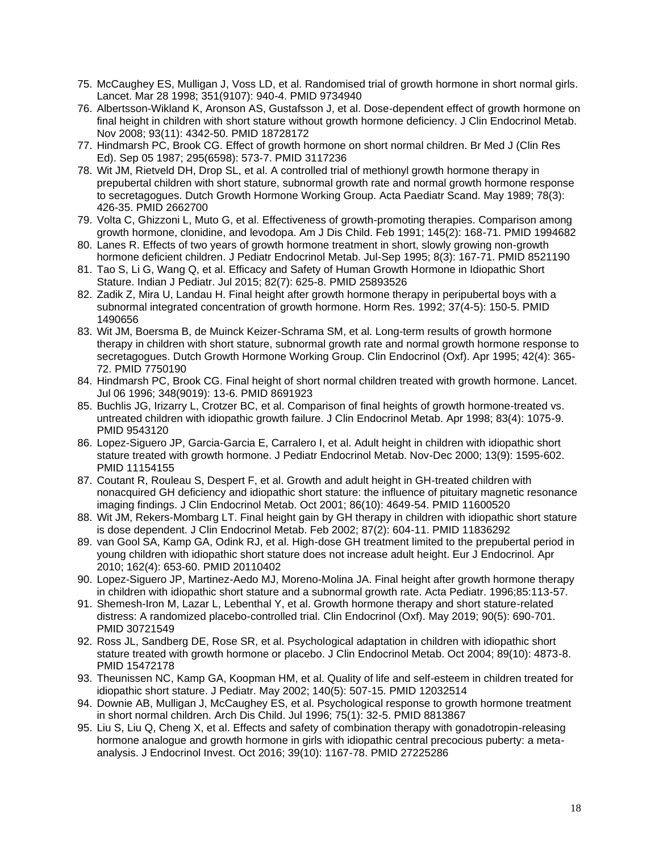- 75. McCaughey ES, Mulligan J, Voss LD, et al. Randomised trial of growth hormone in short normal girls. Lancet. Mar 28 1998; 351(9107): 940-4. PMID 9734940
- 76. Albertsson-Wikland K, Aronson AS, Gustafsson J, et al. Dose-dependent effect of growth hormone on final height in children with short stature without growth hormone deficiency. J Clin Endocrinol Metab. Nov 2008; 93(11): 4342-50. PMID 18728172
- 77. Hindmarsh PC, Brook CG. Effect of growth hormone on short normal children. Br Med J (Clin Res Ed). Sep 05 1987; 295(6598): 573-7. PMID 3117236
- 78. Wit JM, Rietveld DH, Drop SL, et al. A controlled trial of methionyl growth hormone therapy in prepubertal children with short stature, subnormal growth rate and normal growth hormone response to secretagogues. Dutch Growth Hormone Working Group. Acta Paediatr Scand. May 1989; 78(3): 426-35. PMID 2662700
- 79. Volta C, Ghizzoni L, Muto G, et al. Effectiveness of growth-promoting therapies. Comparison among growth hormone, clonidine, and levodopa. Am J Dis Child. Feb 1991; 145(2): 168-71. PMID 1994682
- 80. Lanes R. Effects of two years of growth hormone treatment in short, slowly growing non-growth hormone deficient children. J Pediatr Endocrinol Metab. Jul-Sep 1995; 8(3): 167-71. PMID 8521190
- 81. Tao S, Li G, Wang Q, et al. Efficacy and Safety of Human Growth Hormone in Idiopathic Short Stature. Indian J Pediatr. Jul 2015; 82(7): 625-8. PMID 25893526
- 82. Zadik Z, Mira U, Landau H. Final height after growth hormone therapy in peripubertal boys with a subnormal integrated concentration of growth hormone. Horm Res. 1992; 37(4-5): 150-5. PMID 1490656
- 83. Wit JM, Boersma B, de Muinck Keizer-Schrama SM, et al. Long-term results of growth hormone therapy in children with short stature, subnormal growth rate and normal growth hormone response to secretagogues. Dutch Growth Hormone Working Group. Clin Endocrinol (Oxf). Apr 1995; 42(4): 365- 72. PMID 7750190
- 84. Hindmarsh PC, Brook CG. Final height of short normal children treated with growth hormone. Lancet. Jul 06 1996; 348(9019): 13-6. PMID 8691923
- 85. Buchlis JG, Irizarry L, Crotzer BC, et al. Comparison of final heights of growth hormone-treated vs. untreated children with idiopathic growth failure. J Clin Endocrinol Metab. Apr 1998; 83(4): 1075-9. PMID 9543120
- 86. Lopez-Siguero JP, Garcia-Garcia E, Carralero I, et al. Adult height in children with idiopathic short stature treated with growth hormone. J Pediatr Endocrinol Metab. Nov-Dec 2000; 13(9): 1595-602. PMID 11154155
- 87. Coutant R, Rouleau S, Despert F, et al. Growth and adult height in GH-treated children with nonacquired GH deficiency and idiopathic short stature: the influence of pituitary magnetic resonance imaging findings. J Clin Endocrinol Metab. Oct 2001; 86(10): 4649-54. PMID 11600520
- 88. Wit JM, Rekers-Mombarg LT. Final height gain by GH therapy in children with idiopathic short stature is dose dependent. J Clin Endocrinol Metab. Feb 2002; 87(2): 604-11. PMID 11836292
- 89. van Gool SA, Kamp GA, Odink RJ, et al. High-dose GH treatment limited to the prepubertal period in young children with idiopathic short stature does not increase adult height. Eur J Endocrinol. Apr 2010; 162(4): 653-60. PMID 20110402
- 90. Lopez-Siguero JP, Martinez-Aedo MJ, Moreno-Molina JA. Final height after growth hormone therapy in children with idiopathic short stature and a subnormal growth rate. Acta Pediatr. 1996;85:113-57.
- 91. Shemesh-Iron M, Lazar L, Lebenthal Y, et al. Growth hormone therapy and short stature-related distress: A randomized placebo-controlled trial. Clin Endocrinol (Oxf). May 2019; 90(5): 690-701. PMID 30721549
- 92. Ross JL, Sandberg DE, Rose SR, et al. Psychological adaptation in children with idiopathic short stature treated with growth hormone or placebo. J Clin Endocrinol Metab. Oct 2004; 89(10): 4873-8. PMID 15472178
- 93. Theunissen NC, Kamp GA, Koopman HM, et al. Quality of life and self-esteem in children treated for idiopathic short stature. J Pediatr. May 2002; 140(5): 507-15. PMID 12032514
- 94. Downie AB, Mulligan J, McCaughey ES, et al. Psychological response to growth hormone treatment in short normal children. Arch Dis Child. Jul 1996; 75(1): 32-5. PMID 8813867
- 95. Liu S, Liu Q, Cheng X, et al. Effects and safety of combination therapy with gonadotropin-releasing hormone analogue and growth hormone in girls with idiopathic central precocious puberty: a metaanalysis. J Endocrinol Invest. Oct 2016; 39(10): 1167-78. PMID 27225286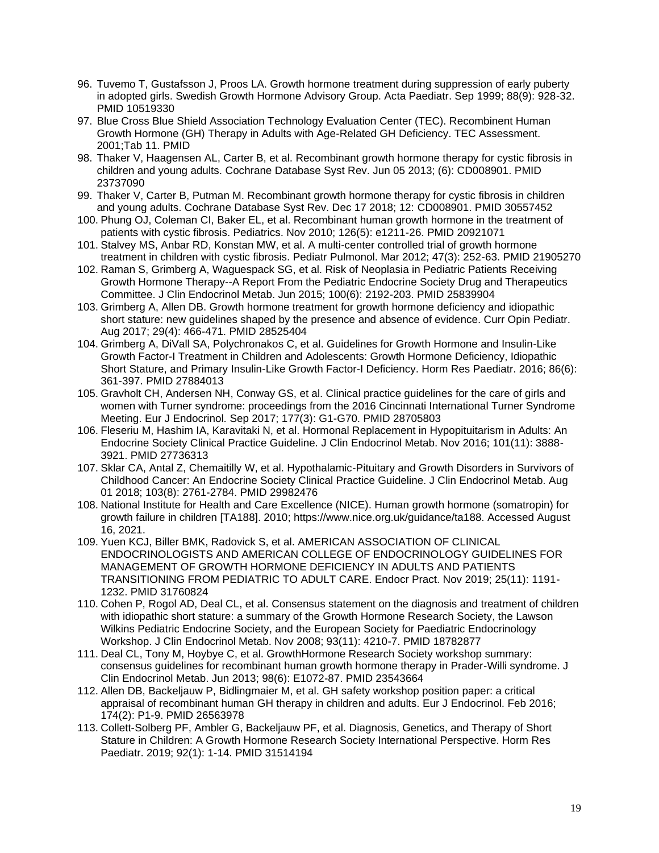- 96. Tuvemo T, Gustafsson J, Proos LA. Growth hormone treatment during suppression of early puberty in adopted girls. Swedish Growth Hormone Advisory Group. Acta Paediatr. Sep 1999; 88(9): 928-32. PMID 10519330
- 97. Blue Cross Blue Shield Association Technology Evaluation Center (TEC). Recombinent Human Growth Hormone (GH) Therapy in Adults with Age-Related GH Deficiency. TEC Assessment. 2001;Tab 11. PMID
- 98. Thaker V, Haagensen AL, Carter B, et al. Recombinant growth hormone therapy for cystic fibrosis in children and young adults. Cochrane Database Syst Rev. Jun 05 2013; (6): CD008901. PMID 23737090
- 99. Thaker V, Carter B, Putman M. Recombinant growth hormone therapy for cystic fibrosis in children and young adults. Cochrane Database Syst Rev. Dec 17 2018; 12: CD008901. PMID 30557452
- 100. Phung OJ, Coleman CI, Baker EL, et al. Recombinant human growth hormone in the treatment of patients with cystic fibrosis. Pediatrics. Nov 2010; 126(5): e1211-26. PMID 20921071
- 101. Stalvey MS, Anbar RD, Konstan MW, et al. A multi-center controlled trial of growth hormone treatment in children with cystic fibrosis. Pediatr Pulmonol. Mar 2012; 47(3): 252-63. PMID 21905270
- 102. Raman S, Grimberg A, Waguespack SG, et al. Risk of Neoplasia in Pediatric Patients Receiving Growth Hormone Therapy--A Report From the Pediatric Endocrine Society Drug and Therapeutics Committee. J Clin Endocrinol Metab. Jun 2015; 100(6): 2192-203. PMID 25839904
- 103. Grimberg A, Allen DB. Growth hormone treatment for growth hormone deficiency and idiopathic short stature: new guidelines shaped by the presence and absence of evidence. Curr Opin Pediatr. Aug 2017; 29(4): 466-471. PMID 28525404
- 104. Grimberg A, DiVall SA, Polychronakos C, et al. Guidelines for Growth Hormone and Insulin-Like Growth Factor-I Treatment in Children and Adolescents: Growth Hormone Deficiency, Idiopathic Short Stature, and Primary Insulin-Like Growth Factor-I Deficiency. Horm Res Paediatr. 2016; 86(6): 361-397. PMID 27884013
- 105. Gravholt CH, Andersen NH, Conway GS, et al. Clinical practice guidelines for the care of girls and women with Turner syndrome: proceedings from the 2016 Cincinnati International Turner Syndrome Meeting. Eur J Endocrinol. Sep 2017; 177(3): G1-G70. PMID 28705803
- 106. Fleseriu M, Hashim IA, Karavitaki N, et al. Hormonal Replacement in Hypopituitarism in Adults: An Endocrine Society Clinical Practice Guideline. J Clin Endocrinol Metab. Nov 2016; 101(11): 3888- 3921. PMID 27736313
- 107. Sklar CA, Antal Z, Chemaitilly W, et al. Hypothalamic-Pituitary and Growth Disorders in Survivors of Childhood Cancer: An Endocrine Society Clinical Practice Guideline. J Clin Endocrinol Metab. Aug 01 2018; 103(8): 2761-2784. PMID 29982476
- 108. National Institute for Health and Care Excellence (NICE). Human growth hormone (somatropin) for growth failure in children [TA188]. 2010; https://www.nice.org.uk/guidance/ta188. Accessed August 16, 2021.
- 109. Yuen KCJ, Biller BMK, Radovick S, et al. AMERICAN ASSOCIATION OF CLINICAL ENDOCRINOLOGISTS AND AMERICAN COLLEGE OF ENDOCRINOLOGY GUIDELINES FOR MANAGEMENT OF GROWTH HORMONE DEFICIENCY IN ADULTS AND PATIENTS TRANSITIONING FROM PEDIATRIC TO ADULT CARE. Endocr Pract. Nov 2019; 25(11): 1191- 1232. PMID 31760824
- 110. Cohen P, Rogol AD, Deal CL, et al. Consensus statement on the diagnosis and treatment of children with idiopathic short stature: a summary of the Growth Hormone Research Society, the Lawson Wilkins Pediatric Endocrine Society, and the European Society for Paediatric Endocrinology Workshop. J Clin Endocrinol Metab. Nov 2008; 93(11): 4210-7. PMID 18782877
- 111. Deal CL, Tony M, Hoybye C, et al. GrowthHormone Research Society workshop summary: consensus guidelines for recombinant human growth hormone therapy in Prader-Willi syndrome. J Clin Endocrinol Metab. Jun 2013; 98(6): E1072-87. PMID 23543664
- 112. Allen DB, Backeljauw P, Bidlingmaier M, et al. GH safety workshop position paper: a critical appraisal of recombinant human GH therapy in children and adults. Eur J Endocrinol. Feb 2016; 174(2): P1-9. PMID 26563978
- 113. Collett-Solberg PF, Ambler G, Backeljauw PF, et al. Diagnosis, Genetics, and Therapy of Short Stature in Children: A Growth Hormone Research Society International Perspective. Horm Res Paediatr. 2019; 92(1): 1-14. PMID 31514194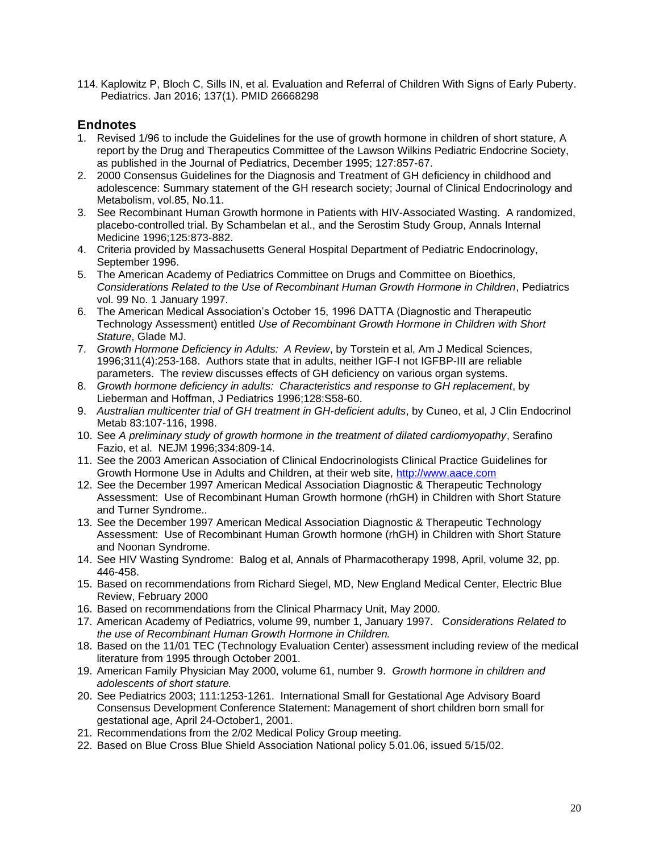114. Kaplowitz P, Bloch C, Sills IN, et al. Evaluation and Referral of Children With Signs of Early Puberty. Pediatrics. Jan 2016; 137(1). PMID 26668298

### <span id="page-19-0"></span>**Endnotes**

- 1. Revised 1/96 to include the Guidelines for the use of growth hormone in children of short stature, A report by the Drug and Therapeutics Committee of the Lawson Wilkins Pediatric Endocrine Society, as published in the Journal of Pediatrics, December 1995; 127:857-67.
- 2. 2000 Consensus Guidelines for the Diagnosis and Treatment of GH deficiency in childhood and adolescence: Summary statement of the GH research society; Journal of Clinical Endocrinology and Metabolism, vol.85, No.11.
- 3. See Recombinant Human Growth hormone in Patients with HIV-Associated Wasting. A randomized, placebo-controlled trial. By Schambelan et al., and the Serostim Study Group, Annals Internal Medicine 1996;125:873-882.
- 4. Criteria provided by Massachusetts General Hospital Department of Pediatric Endocrinology, September 1996.
- 5. The American Academy of Pediatrics Committee on Drugs and Committee on Bioethics*, Considerations Related to the Use of Recombinant Human Growth Hormone in Children*, Pediatrics vol. 99 No. 1 January 1997.
- 6. The American Medical Association's October 15, 1996 DATTA (Diagnostic and Therapeutic Technology Assessment) entitled *Use of Recombinant Growth Hormone in Children with Short Stature*, Glade MJ.
- 7. *Growth Hormone Deficiency in Adults: A Review*, by Torstein et al, Am J Medical Sciences, 1996;311(4):253-168. Authors state that in adults, neither IGF-I not IGFBP-III are reliable parameters. The review discusses effects of GH deficiency on various organ systems.
- 8. *Growth hormone deficiency in adults: Characteristics and response to GH replacement*, by Lieberman and Hoffman, J Pediatrics 1996;128:S58-60.
- 9. *Australian multicenter trial of GH treatment in GH-deficient adults*, by Cuneo, et al, J Clin Endocrinol Metab 83:107-116, 1998.
- 10. See *A preliminary study of growth hormone in the treatment of dilated cardiomyopathy*, Serafino Fazio, et al. NEJM 1996;334:809-14.
- 11. See the 2003 American Association of Clinical Endocrinologists Clinical Practice Guidelines for Growth Hormone Use in Adults and Children, at their web site, [http://www.aace.com](http://www.aace.com/)
- 12. See the December 1997 American Medical Association Diagnostic & Therapeutic Technology Assessment: Use of Recombinant Human Growth hormone (rhGH) in Children with Short Stature and Turner Syndrome..
- 13. See the December 1997 American Medical Association Diagnostic & Therapeutic Technology Assessment: Use of Recombinant Human Growth hormone (rhGH) in Children with Short Stature and Noonan Syndrome.
- 14. See HIV Wasting Syndrome: Balog et al, Annals of Pharmacotherapy 1998, April, volume 32, pp. 446-458.
- 15. Based on recommendations from Richard Siegel, MD, New England Medical Center, Electric Blue Review, February 2000
- 16. Based on recommendations from the Clinical Pharmacy Unit, May 2000.
- 17. American Academy of Pediatrics, volume 99, number 1, January 1997. C*onsiderations Related to the use of Recombinant Human Growth Hormone in Children.*
- 18. Based on the 11/01 TEC (Technology Evaluation Center) assessment including review of the medical literature from 1995 through October 2001.
- 19. American Family Physician May 2000, volume 61, number 9. *Growth hormone in children and adolescents of short stature.*
- 20. See Pediatrics 2003; 111:1253-1261. International Small for Gestational Age Advisory Board Consensus Development Conference Statement: Management of short children born small for gestational age, April 24-October1, 2001.
- 21. Recommendations from the 2/02 Medical Policy Group meeting.
- 22. Based on Blue Cross Blue Shield Association National policy 5.01.06, issued 5/15/02.